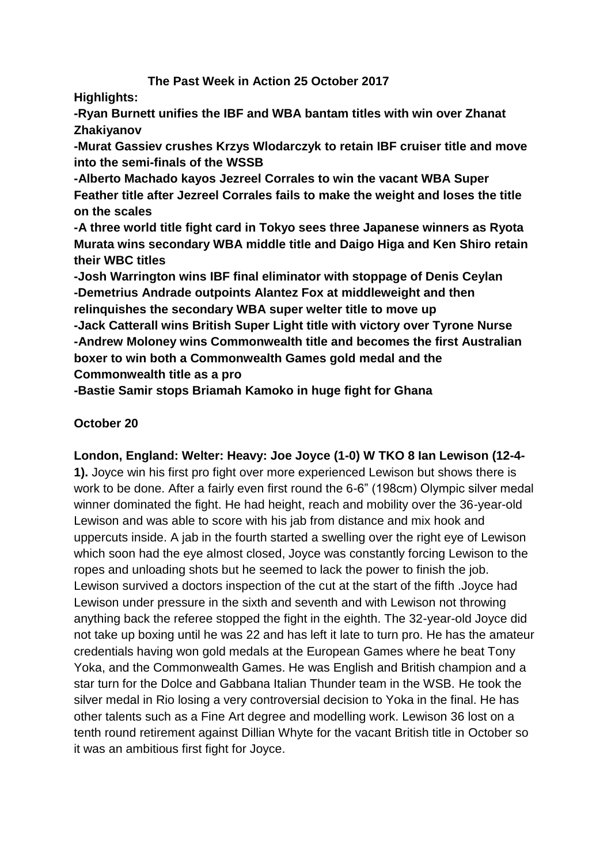# **The Past Week in Action 25 October 2017**

**Highlights:**

**-Ryan Burnett unifies the IBF and WBA bantam titles with win over Zhanat Zhakiyanov**

**-Murat Gassiev crushes Krzys Wlodarczyk to retain IBF cruiser title and move into the semi-finals of the WSSB**

**-Alberto Machado kayos Jezreel Corrales to win the vacant WBA Super Feather title after Jezreel Corrales fails to make the weight and loses the title on the scales**

**-A three world title fight card in Tokyo sees three Japanese winners as Ryota Murata wins secondary WBA middle title and Daigo Higa and Ken Shiro retain their WBC titles**

**-Josh Warrington wins IBF final eliminator with stoppage of Denis Ceylan -Demetrius Andrade outpoints Alantez Fox at middleweight and then relinquishes the secondary WBA super welter title to move up**

**-Jack Catterall wins British Super Light title with victory over Tyrone Nurse -Andrew Moloney wins Commonwealth title and becomes the first Australian boxer to win both a Commonwealth Games gold medal and the Commonwealth title as a pro**

**-Bastie Samir stops Briamah Kamoko in huge fight for Ghana**

# **October 20**

# **London, England: Welter: Heavy: Joe Joyce (1-0) W TKO 8 Ian Lewison (12-4-**

**1).** Joyce win his first pro fight over more experienced Lewison but shows there is work to be done. After a fairly even first round the 6-6" (198cm) Olympic silver medal winner dominated the fight. He had height, reach and mobility over the 36-year-old Lewison and was able to score with his jab from distance and mix hook and uppercuts inside. A jab in the fourth started a swelling over the right eye of Lewison which soon had the eye almost closed, Joyce was constantly forcing Lewison to the ropes and unloading shots but he seemed to lack the power to finish the job. Lewison survived a doctors inspection of the cut at the start of the fifth .Joyce had Lewison under pressure in the sixth and seventh and with Lewison not throwing anything back the referee stopped the fight in the eighth. The 32-year-old Joyce did not take up boxing until he was 22 and has left it late to turn pro. He has the amateur credentials having won gold medals at the European Games where he beat Tony Yoka, and the Commonwealth Games. He was English and British champion and a star turn for the Dolce and Gabbana Italian Thunder team in the WSB. He took the silver medal in Rio losing a very controversial decision to Yoka in the final. He has other talents such as a Fine Art degree and modelling work. Lewison 36 lost on a tenth round retirement against Dillian Whyte for the vacant British title in October so it was an ambitious first fight for Joyce.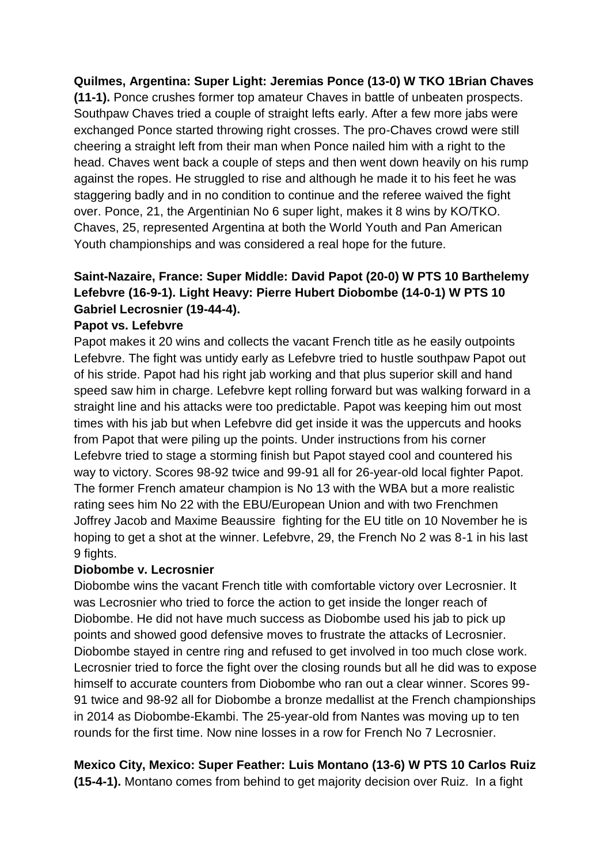## **Quilmes, Argentina: Super Light: Jeremias Ponce (13-0) W TKO 1Brian Chaves**

**(11-1).** Ponce crushes former top amateur Chaves in battle of unbeaten prospects. Southpaw Chaves tried a couple of straight lefts early. After a few more jabs were exchanged Ponce started throwing right crosses. The pro-Chaves crowd were still cheering a straight left from their man when Ponce nailed him with a right to the head. Chaves went back a couple of steps and then went down heavily on his rump against the ropes. He struggled to rise and although he made it to his feet he was staggering badly and in no condition to continue and the referee waived the fight over. Ponce, 21, the Argentinian No 6 super light, makes it 8 wins by KO/TKO. Chaves, 25, represented Argentina at both the World Youth and Pan American Youth championships and was considered a real hope for the future.

# **Saint-Nazaire, France: Super Middle: David Papot (20-0) W PTS 10 Barthelemy Lefebvre (16-9-1). Light Heavy: Pierre Hubert Diobombe (14-0-1) W PTS 10 Gabriel Lecrosnier (19-44-4).**

#### **Papot vs. Lefebvre**

Papot makes it 20 wins and collects the vacant French title as he easily outpoints Lefebvre. The fight was untidy early as Lefebvre tried to hustle southpaw Papot out of his stride. Papot had his right jab working and that plus superior skill and hand speed saw him in charge. Lefebvre kept rolling forward but was walking forward in a straight line and his attacks were too predictable. Papot was keeping him out most times with his jab but when Lefebvre did get inside it was the uppercuts and hooks from Papot that were piling up the points. Under instructions from his corner Lefebvre tried to stage a storming finish but Papot stayed cool and countered his way to victory. Scores 98-92 twice and 99-91 all for 26-year-old local fighter Papot. The former French amateur champion is No 13 with the WBA but a more realistic rating sees him No 22 with the EBU/European Union and with two Frenchmen Joffrey Jacob and Maxime Beaussire fighting for the EU title on 10 November he is hoping to get a shot at the winner. Lefebvre, 29, the French No 2 was 8-1 in his last 9 fights.

#### **Diobombe v. Lecrosnier**

Diobombe wins the vacant French title with comfortable victory over Lecrosnier. It was Lecrosnier who tried to force the action to get inside the longer reach of Diobombe. He did not have much success as Diobombe used his jab to pick up points and showed good defensive moves to frustrate the attacks of Lecrosnier. Diobombe stayed in centre ring and refused to get involved in too much close work. Lecrosnier tried to force the fight over the closing rounds but all he did was to expose himself to accurate counters from Diobombe who ran out a clear winner. Scores 99- 91 twice and 98-92 all for Diobombe a bronze medallist at the French championships in 2014 as Diobombe-Ekambi. The 25-year-old from Nantes was moving up to ten rounds for the first time. Now nine losses in a row for French No 7 Lecrosnier.

# **Mexico City, Mexico: Super Feather: Luis Montano (13-6) W PTS 10 Carlos Ruiz**

**(15-4-1).** Montano comes from behind to get majority decision over Ruiz. In a fight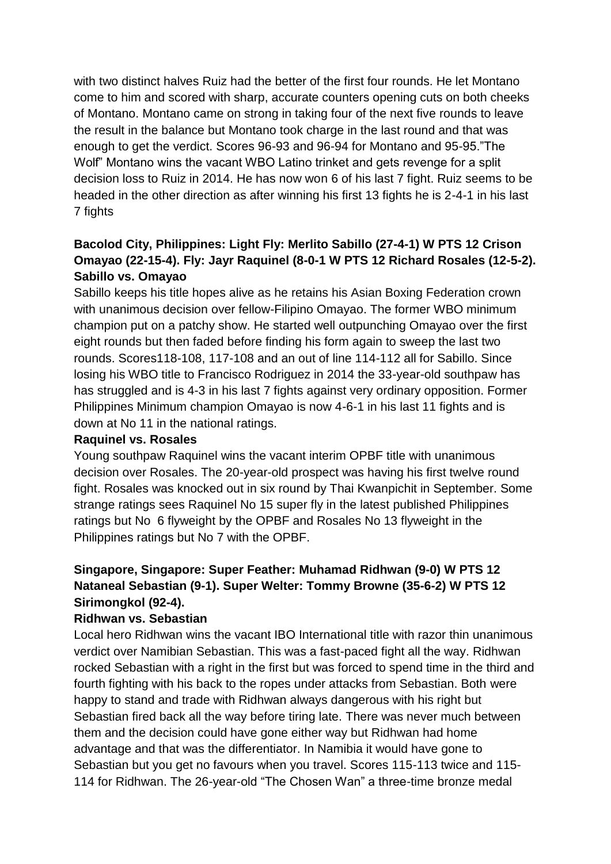with two distinct halves Ruiz had the better of the first four rounds. He let Montano come to him and scored with sharp, accurate counters opening cuts on both cheeks of Montano. Montano came on strong in taking four of the next five rounds to leave the result in the balance but Montano took charge in the last round and that was enough to get the verdict. Scores 96-93 and 96-94 for Montano and 95-95."The Wolf" Montano wins the vacant WBO Latino trinket and gets revenge for a split decision loss to Ruiz in 2014. He has now won 6 of his last 7 fight. Ruiz seems to be headed in the other direction as after winning his first 13 fights he is 2-4-1 in his last 7 fights

# **Bacolod City, Philippines: Light Fly: Merlito Sabillo (27-4-1) W PTS 12 Crison Omayao (22-15-4). Fly: Jayr Raquinel (8-0-1 W PTS 12 Richard Rosales (12-5-2). Sabillo vs. Omayao**

Sabillo keeps his title hopes alive as he retains his Asian Boxing Federation crown with unanimous decision over fellow-Filipino Omavao. The former WBO minimum champion put on a patchy show. He started well outpunching Omayao over the first eight rounds but then faded before finding his form again to sweep the last two rounds. Scores118-108, 117-108 and an out of line 114-112 all for Sabillo. Since losing his WBO title to Francisco Rodriguez in 2014 the 33-year-old southpaw has has struggled and is 4-3 in his last 7 fights against very ordinary opposition. Former Philippines Minimum champion Omayao is now 4-6-1 in his last 11 fights and is down at No 11 in the national ratings.

## **Raquinel vs. Rosales**

Young southpaw Raquinel wins the vacant interim OPBF title with unanimous decision over Rosales. The 20-year-old prospect was having his first twelve round fight. Rosales was knocked out in six round by Thai Kwanpichit in September. Some strange ratings sees Raquinel No 15 super fly in the latest published Philippines ratings but No 6 flyweight by the OPBF and Rosales No 13 flyweight in the Philippines ratings but No 7 with the OPBF.

# **Singapore, Singapore: Super Feather: Muhamad Ridhwan (9-0) W PTS 12 Nataneal Sebastian (9-1). Super Welter: Tommy Browne (35-6-2) W PTS 12 Sirimongkol (92-4).**

## **Ridhwan vs. Sebastian**

Local hero Ridhwan wins the vacant IBO International title with razor thin unanimous verdict over Namibian Sebastian. This was a fast-paced fight all the way. Ridhwan rocked Sebastian with a right in the first but was forced to spend time in the third and fourth fighting with his back to the ropes under attacks from Sebastian. Both were happy to stand and trade with Ridhwan always dangerous with his right but Sebastian fired back all the way before tiring late. There was never much between them and the decision could have gone either way but Ridhwan had home advantage and that was the differentiator. In Namibia it would have gone to Sebastian but you get no favours when you travel. Scores 115-113 twice and 115- 114 for Ridhwan. The 26-year-old "The Chosen Wan" a three-time bronze medal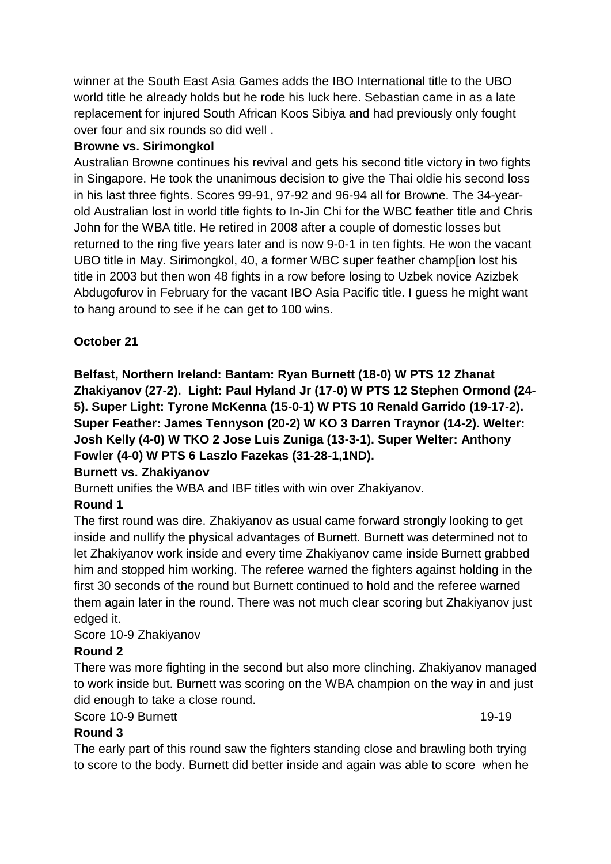winner at the South East Asia Games adds the IBO International title to the UBO world title he already holds but he rode his luck here. Sebastian came in as a late replacement for injured South African Koos Sibiya and had previously only fought over four and six rounds so did well .

## **Browne vs. Sirimongkol**

Australian Browne continues his revival and gets his second title victory in two fights in Singapore. He took the unanimous decision to give the Thai oldie his second loss in his last three fights. Scores 99-91, 97-92 and 96-94 all for Browne. The 34-yearold Australian lost in world title fights to In-Jin Chi for the WBC feather title and Chris John for the WBA title. He retired in 2008 after a couple of domestic losses but returned to the ring five years later and is now 9-0-1 in ten fights. He won the vacant UBO title in May. Sirimongkol, 40, a former WBC super feather champ[ion lost his title in 2003 but then won 48 fights in a row before losing to Uzbek novice Azizbek Abdugofurov in February for the vacant IBO Asia Pacific title. I guess he might want to hang around to see if he can get to 100 wins.

## **October 21**

**Belfast, Northern Ireland: Bantam: Ryan Burnett (18-0) W PTS 12 Zhanat Zhakiyanov (27-2). Light: Paul Hyland Jr (17-0) W PTS 12 Stephen Ormond (24- 5). Super Light: Tyrone McKenna (15-0-1) W PTS 10 Renald Garrido (19-17-2). Super Feather: James Tennyson (20-2) W KO 3 Darren Traynor (14-2). Welter: Josh Kelly (4-0) W TKO 2 Jose Luis Zuniga (13-3-1). Super Welter: Anthony Fowler (4-0) W PTS 6 Laszlo Fazekas (31-28-1,1ND).**

## **Burnett vs. Zhakiyanov**

Burnett unifies the WBA and IBF titles with win over Zhakiyanov.

# **Round 1**

The first round was dire. Zhakiyanov as usual came forward strongly looking to get inside and nullify the physical advantages of Burnett. Burnett was determined not to let Zhakiyanov work inside and every time Zhakiyanov came inside Burnett grabbed him and stopped him working. The referee warned the fighters against holding in the first 30 seconds of the round but Burnett continued to hold and the referee warned them again later in the round. There was not much clear scoring but Zhakiyanov just edged it.

## Score 10-9 Zhakiyanov

## **Round 2**

There was more fighting in the second but also more clinching. Zhakiyanov managed to work inside but. Burnett was scoring on the WBA champion on the way in and just did enough to take a close round.

## Score 10-9 Burnett 19-19

# **Round 3**

The early part of this round saw the fighters standing close and brawling both trying to score to the body. Burnett did better inside and again was able to score when he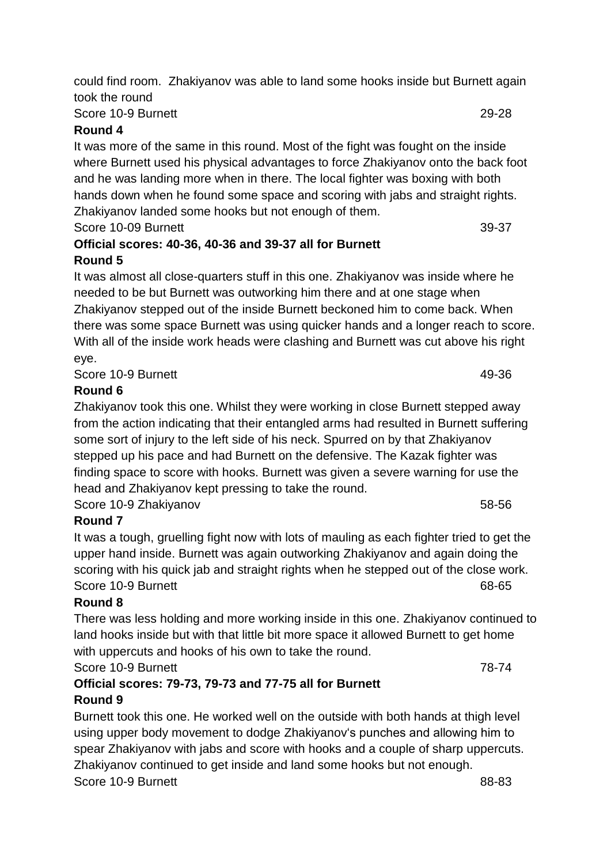could find room. Zhakiyanov was able to land some hooks inside but Burnett again took the round

# Score 10-9 Burnett 29-28

## **Round 4**

It was more of the same in this round. Most of the fight was fought on the inside where Burnett used his physical advantages to force Zhakiyanov onto the back foot and he was landing more when in there. The local fighter was boxing with both hands down when he found some space and scoring with jabs and straight rights. Zhakiyanov landed some hooks but not enough of them.

Score 10-09 Burnett 39-37

## **Official scores: 40-36, 40-36 and 39-37 all for Burnett Round 5**

It was almost all close-quarters stuff in this one. Zhakiyanov was inside where he needed to be but Burnett was outworking him there and at one stage when Zhakiyanov stepped out of the inside Burnett beckoned him to come back. When there was some space Burnett was using quicker hands and a longer reach to score. With all of the inside work heads were clashing and Burnett was cut above his right eye.

Score 10-9 Burnett 49-36

# **Round 6**

Zhakiyanov took this one. Whilst they were working in close Burnett stepped away from the action indicating that their entangled arms had resulted in Burnett suffering some sort of injury to the left side of his neck. Spurred on by that Zhakiyanov stepped up his pace and had Burnett on the defensive. The Kazak fighter was finding space to score with hooks. Burnett was given a severe warning for use the head and Zhakiyanov kept pressing to take the round.

Score 10-9 Zhakiyanov 58-56

# **Round 7**

It was a tough, gruelling fight now with lots of mauling as each fighter tried to get the upper hand inside. Burnett was again outworking Zhakiyanov and again doing the scoring with his quick jab and straight rights when he stepped out of the close work. Score 10-9 Burnett 68-65

# **Round 8**

There was less holding and more working inside in this one. Zhakiyanov continued to land hooks inside but with that little bit more space it allowed Burnett to get home with uppercuts and hooks of his own to take the round. Score 10-9 Burnett 78-74

**Official scores: 79-73, 79-73 and 77-75 all for Burnett**

# **Round 9**

Burnett took this one. He worked well on the outside with both hands at thigh level using upper body movement to dodge Zhakiyanov's punches and allowing him to spear Zhakiyanov with jabs and score with hooks and a couple of sharp uppercuts. Zhakiyanov continued to get inside and land some hooks but not enough. Score 10-9 Burnett 88-83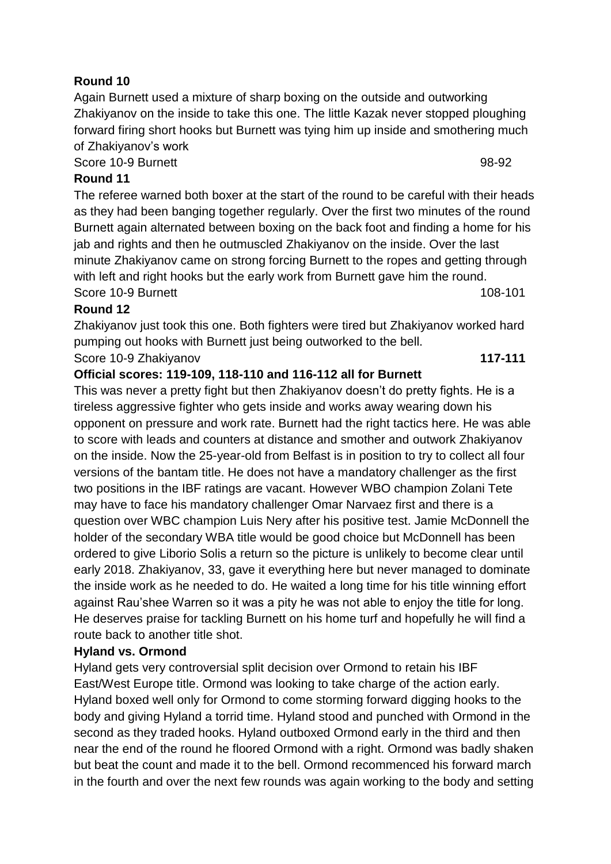## **Round 10**

Again Burnett used a mixture of sharp boxing on the outside and outworking Zhakiyanov on the inside to take this one. The little Kazak never stopped ploughing forward firing short hooks but Burnett was tying him up inside and smothering much of Zhakiyanov's work

Score 10-9 Burnett 98-92

## **Round 11**

The referee warned both boxer at the start of the round to be careful with their heads as they had been banging together regularly. Over the first two minutes of the round Burnett again alternated between boxing on the back foot and finding a home for his jab and rights and then he outmuscled Zhakiyanov on the inside. Over the last minute Zhakiyanov came on strong forcing Burnett to the ropes and getting through with left and right hooks but the early work from Burnett gave him the round. Score 10-9 Burnett 108-101

## **Round 12**

Zhakiyanov just took this one. Both fighters were tired but Zhakiyanov worked hard pumping out hooks with Burnett just being outworked to the bell. Score 10-9 Zhakiyanov **117-111** 

# **Official scores: 119-109, 118-110 and 116-112 all for Burnett**

This was never a pretty fight but then Zhakiyanov doesn't do pretty fights. He is a tireless aggressive fighter who gets inside and works away wearing down his opponent on pressure and work rate. Burnett had the right tactics here. He was able to score with leads and counters at distance and smother and outwork Zhakiyanov on the inside. Now the 25-year-old from Belfast is in position to try to collect all four versions of the bantam title. He does not have a mandatory challenger as the first two positions in the IBF ratings are vacant. However WBO champion Zolani Tete may have to face his mandatory challenger Omar Narvaez first and there is a question over WBC champion Luis Nery after his positive test. Jamie McDonnell the holder of the secondary WBA title would be good choice but McDonnell has been ordered to give Liborio Solis a return so the picture is unlikely to become clear until early 2018. Zhakiyanov, 33, gave it everything here but never managed to dominate the inside work as he needed to do. He waited a long time for his title winning effort against Rau'shee Warren so it was a pity he was not able to enjoy the title for long. He deserves praise for tackling Burnett on his home turf and hopefully he will find a route back to another title shot.

## **Hyland vs. Ormond**

Hyland gets very controversial split decision over Ormond to retain his IBF East/West Europe title. Ormond was looking to take charge of the action early. Hyland boxed well only for Ormond to come storming forward digging hooks to the body and giving Hyland a torrid time. Hyland stood and punched with Ormond in the second as they traded hooks. Hyland outboxed Ormond early in the third and then near the end of the round he floored Ormond with a right. Ormond was badly shaken but beat the count and made it to the bell. Ormond recommenced his forward march in the fourth and over the next few rounds was again working to the body and setting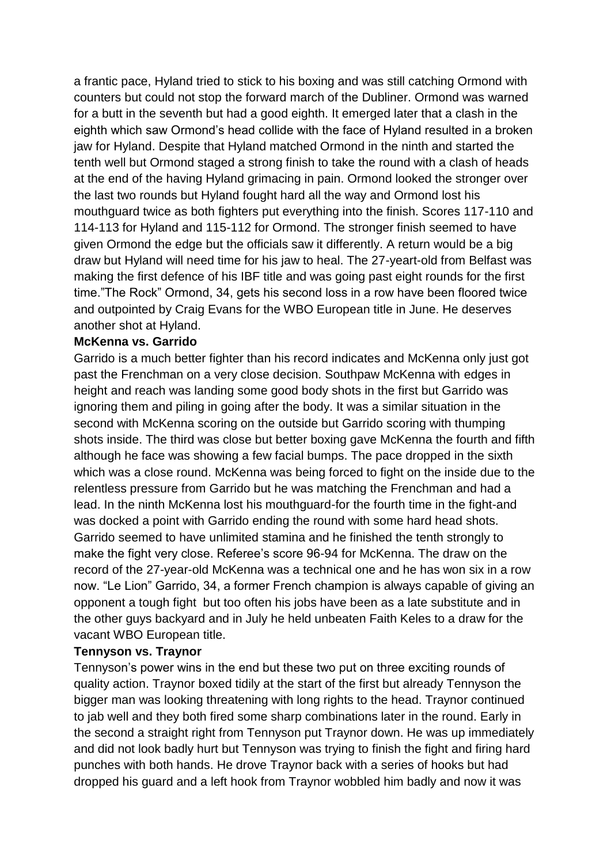a frantic pace, Hyland tried to stick to his boxing and was still catching Ormond with counters but could not stop the forward march of the Dubliner. Ormond was warned for a butt in the seventh but had a good eighth. It emerged later that a clash in the eighth which saw Ormond's head collide with the face of Hyland resulted in a broken jaw for Hyland. Despite that Hyland matched Ormond in the ninth and started the tenth well but Ormond staged a strong finish to take the round with a clash of heads at the end of the having Hyland grimacing in pain. Ormond looked the stronger over the last two rounds but Hyland fought hard all the way and Ormond lost his mouthguard twice as both fighters put everything into the finish. Scores 117-110 and 114-113 for Hyland and 115-112 for Ormond. The stronger finish seemed to have given Ormond the edge but the officials saw it differently. A return would be a big draw but Hyland will need time for his jaw to heal. The 27-yeart-old from Belfast was making the first defence of his IBF title and was going past eight rounds for the first time."The Rock" Ormond, 34, gets his second loss in a row have been floored twice and outpointed by Craig Evans for the WBO European title in June. He deserves another shot at Hyland.

#### **McKenna vs. Garrido**

Garrido is a much better fighter than his record indicates and McKenna only just got past the Frenchman on a very close decision. Southpaw McKenna with edges in height and reach was landing some good body shots in the first but Garrido was ignoring them and piling in going after the body. It was a similar situation in the second with McKenna scoring on the outside but Garrido scoring with thumping shots inside. The third was close but better boxing gave McKenna the fourth and fifth although he face was showing a few facial bumps. The pace dropped in the sixth which was a close round. McKenna was being forced to fight on the inside due to the relentless pressure from Garrido but he was matching the Frenchman and had a lead. In the ninth McKenna lost his mouthguard-for the fourth time in the fight-and was docked a point with Garrido ending the round with some hard head shots. Garrido seemed to have unlimited stamina and he finished the tenth strongly to make the fight very close. Referee's score 96-94 for McKenna. The draw on the record of the 27-year-old McKenna was a technical one and he has won six in a row now. "Le Lion" Garrido, 34, a former French champion is always capable of giving an opponent a tough fight but too often his jobs have been as a late substitute and in the other guys backyard and in July he held unbeaten Faith Keles to a draw for the vacant WBO European title.

#### **Tennyson vs. Traynor**

Tennyson's power wins in the end but these two put on three exciting rounds of quality action. Traynor boxed tidily at the start of the first but already Tennyson the bigger man was looking threatening with long rights to the head. Traynor continued to jab well and they both fired some sharp combinations later in the round. Early in the second a straight right from Tennyson put Traynor down. He was up immediately and did not look badly hurt but Tennyson was trying to finish the fight and firing hard punches with both hands. He drove Traynor back with a series of hooks but had dropped his guard and a left hook from Traynor wobbled him badly and now it was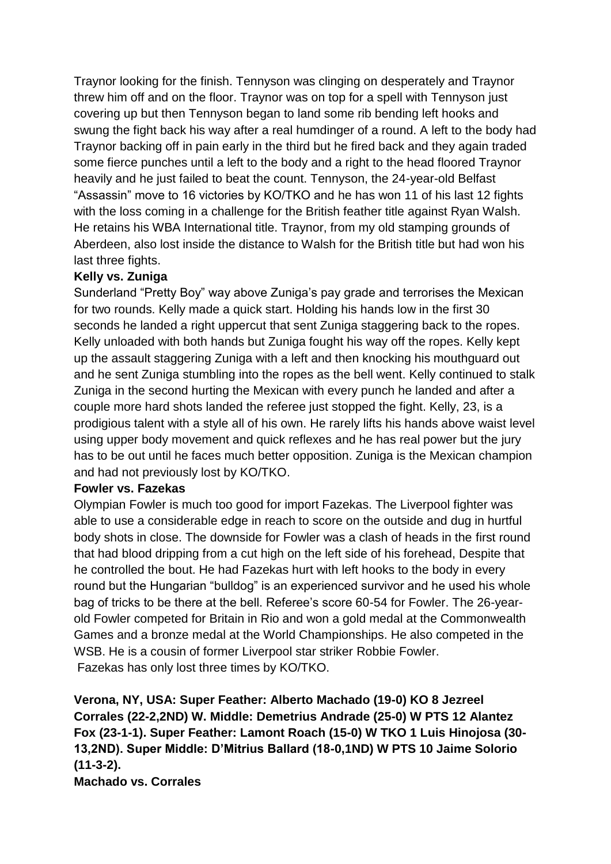Traynor looking for the finish. Tennyson was clinging on desperately and Traynor threw him off and on the floor. Traynor was on top for a spell with Tennyson just covering up but then Tennyson began to land some rib bending left hooks and swung the fight back his way after a real humdinger of a round. A left to the body had Traynor backing off in pain early in the third but he fired back and they again traded some fierce punches until a left to the body and a right to the head floored Traynor heavily and he just failed to beat the count. Tennyson, the 24-year-old Belfast "Assassin" move to 16 victories by KO/TKO and he has won 11 of his last 12 fights with the loss coming in a challenge for the British feather title against Ryan Walsh. He retains his WBA International title. Traynor, from my old stamping grounds of Aberdeen, also lost inside the distance to Walsh for the British title but had won his last three fights.

## **Kelly vs. Zuniga**

Sunderland "Pretty Boy" way above Zuniga's pay grade and terrorises the Mexican for two rounds. Kelly made a quick start. Holding his hands low in the first 30 seconds he landed a right uppercut that sent Zuniga staggering back to the ropes. Kelly unloaded with both hands but Zuniga fought his way off the ropes. Kelly kept up the assault staggering Zuniga with a left and then knocking his mouthguard out and he sent Zuniga stumbling into the ropes as the bell went. Kelly continued to stalk Zuniga in the second hurting the Mexican with every punch he landed and after a couple more hard shots landed the referee just stopped the fight. Kelly, 23, is a prodigious talent with a style all of his own. He rarely lifts his hands above waist level using upper body movement and quick reflexes and he has real power but the jury has to be out until he faces much better opposition. Zuniga is the Mexican champion and had not previously lost by KO/TKO.

## **Fowler vs. Fazekas**

Olympian Fowler is much too good for import Fazekas. The Liverpool fighter was able to use a considerable edge in reach to score on the outside and dug in hurtful body shots in close. The downside for Fowler was a clash of heads in the first round that had blood dripping from a cut high on the left side of his forehead, Despite that he controlled the bout. He had Fazekas hurt with left hooks to the body in every round but the Hungarian "bulldog" is an experienced survivor and he used his whole bag of tricks to be there at the bell. Referee's score 60-54 for Fowler. The 26-yearold Fowler competed for Britain in Rio and won a gold medal at the Commonwealth Games and a bronze medal at the World Championships. He also competed in the WSB. He is a cousin of former Liverpool star striker Robbie Fowler. Fazekas has only lost three times by KO/TKO.

**Verona, NY, USA: Super Feather: Alberto Machado (19-0) KO 8 Jezreel Corrales (22-2,2ND) W. Middle: Demetrius Andrade (25-0) W PTS 12 Alantez Fox (23-1-1). Super Feather: Lamont Roach (15-0) W TKO 1 Luis Hinojosa (30- 13,2ND). Super Middle: D'Mitrius Ballard (18-0,1ND) W PTS 10 Jaime Solorio (11-3-2). Machado vs. Corrales**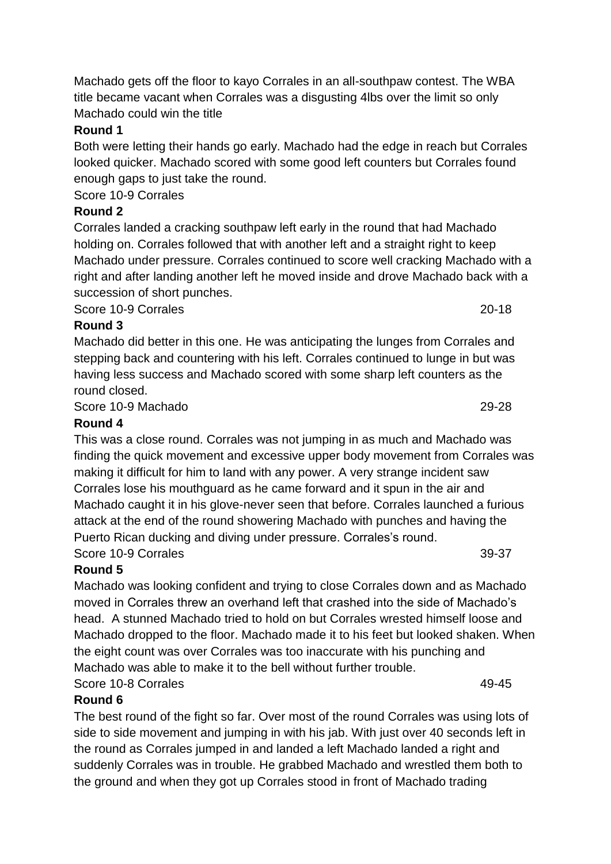Machado gets off the floor to kayo Corrales in an all-southpaw contest. The WBA title became vacant when Corrales was a disgusting 4lbs over the limit so only Machado could win the title

# **Round 1**

Both were letting their hands go early. Machado had the edge in reach but Corrales looked quicker. Machado scored with some good left counters but Corrales found enough gaps to just take the round.

Score 10-9 Corrales

# **Round 2**

Corrales landed a cracking southpaw left early in the round that had Machado holding on. Corrales followed that with another left and a straight right to keep Machado under pressure. Corrales continued to score well cracking Machado with a right and after landing another left he moved inside and drove Machado back with a succession of short punches.

Score 10-9 Corrales 20-18

## **Round 3**

Machado did better in this one. He was anticipating the lunges from Corrales and stepping back and countering with his left. Corrales continued to lunge in but was having less success and Machado scored with some sharp left counters as the round closed.

Score 10-9 Machado 29-28

## **Round 4**

This was a close round. Corrales was not jumping in as much and Machado was finding the quick movement and excessive upper body movement from Corrales was making it difficult for him to land with any power. A very strange incident saw Corrales lose his mouthguard as he came forward and it spun in the air and Machado caught it in his glove-never seen that before. Corrales launched a furious attack at the end of the round showering Machado with punches and having the Puerto Rican ducking and diving under pressure. Corrales's round. Score 10-9 Corrales 39-37

# **Round 5**

Machado was looking confident and trying to close Corrales down and as Machado moved in Corrales threw an overhand left that crashed into the side of Machado's head. A stunned Machado tried to hold on but Corrales wrested himself loose and Machado dropped to the floor. Machado made it to his feet but looked shaken. When the eight count was over Corrales was too inaccurate with his punching and Machado was able to make it to the bell without further trouble. Score 10-8 Corrales 49-45

## **Round 6**

The best round of the fight so far. Over most of the round Corrales was using lots of side to side movement and jumping in with his jab. With just over 40 seconds left in the round as Corrales jumped in and landed a left Machado landed a right and suddenly Corrales was in trouble. He grabbed Machado and wrestled them both to the ground and when they got up Corrales stood in front of Machado trading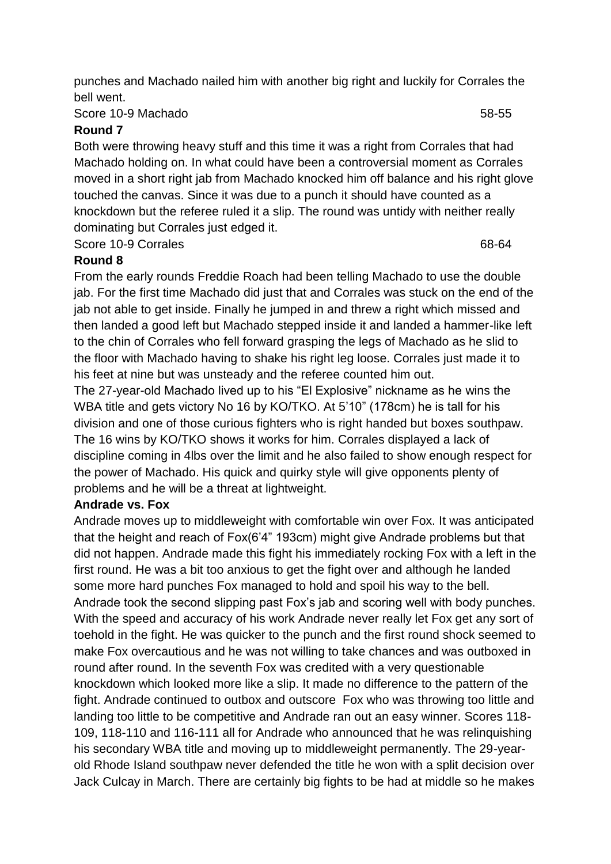punches and Machado nailed him with another big right and luckily for Corrales the bell went.

#### Score 10-9 Machado 58-55

#### **Round 7**

Both were throwing heavy stuff and this time it was a right from Corrales that had Machado holding on. In what could have been a controversial moment as Corrales moved in a short right jab from Machado knocked him off balance and his right glove touched the canvas. Since it was due to a punch it should have counted as a knockdown but the referee ruled it a slip. The round was untidy with neither really dominating but Corrales just edged it.

Score 10-9 Corrales 68-64

#### **Round 8**

From the early rounds Freddie Roach had been telling Machado to use the double jab. For the first time Machado did just that and Corrales was stuck on the end of the jab not able to get inside. Finally he jumped in and threw a right which missed and then landed a good left but Machado stepped inside it and landed a hammer-like left to the chin of Corrales who fell forward grasping the legs of Machado as he slid to the floor with Machado having to shake his right leg loose. Corrales just made it to his feet at nine but was unsteady and the referee counted him out.

The 27-year-old Machado lived up to his "El Explosive" nickname as he wins the WBA title and gets victory No 16 by KO/TKO. At 5'10" (178cm) he is tall for his division and one of those curious fighters who is right handed but boxes southpaw. The 16 wins by KO/TKO shows it works for him. Corrales displayed a lack of discipline coming in 4lbs over the limit and he also failed to show enough respect for the power of Machado. His quick and quirky style will give opponents plenty of problems and he will be a threat at lightweight.

#### **Andrade vs. Fox**

Andrade moves up to middleweight with comfortable win over Fox. It was anticipated that the height and reach of Fox(6'4" 193cm) might give Andrade problems but that did not happen. Andrade made this fight his immediately rocking Fox with a left in the first round. He was a bit too anxious to get the fight over and although he landed some more hard punches Fox managed to hold and spoil his way to the bell. Andrade took the second slipping past Fox's jab and scoring well with body punches. With the speed and accuracy of his work Andrade never really let Fox get any sort of toehold in the fight. He was quicker to the punch and the first round shock seemed to make Fox overcautious and he was not willing to take chances and was outboxed in round after round. In the seventh Fox was credited with a very questionable knockdown which looked more like a slip. It made no difference to the pattern of the fight. Andrade continued to outbox and outscore Fox who was throwing too little and landing too little to be competitive and Andrade ran out an easy winner. Scores 118- 109, 118-110 and 116-111 all for Andrade who announced that he was relinquishing his secondary WBA title and moving up to middleweight permanently. The 29-yearold Rhode Island southpaw never defended the title he won with a split decision over Jack Culcay in March. There are certainly big fights to be had at middle so he makes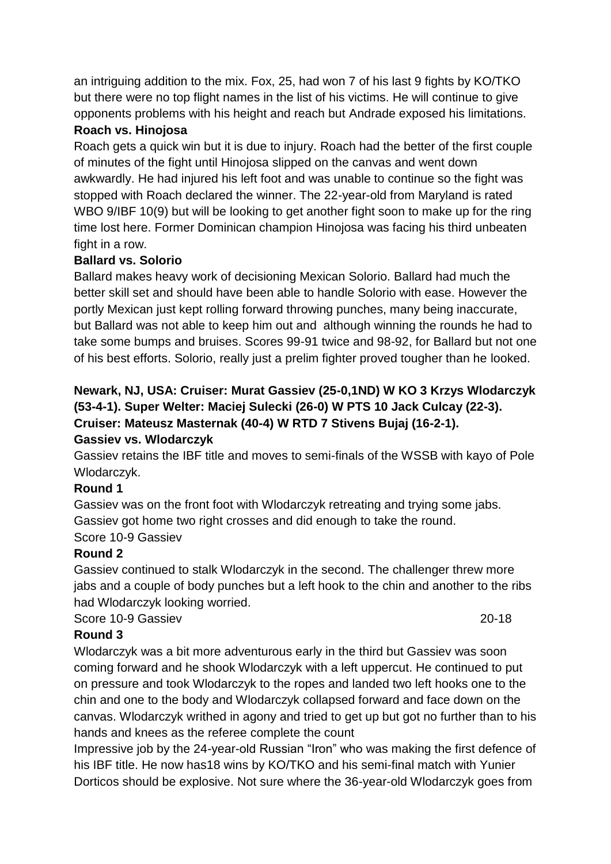an intriguing addition to the mix. Fox, 25, had won 7 of his last 9 fights by KO/TKO but there were no top flight names in the list of his victims. He will continue to give opponents problems with his height and reach but Andrade exposed his limitations.

## **Roach vs. Hinojosa**

Roach gets a quick win but it is due to injury. Roach had the better of the first couple of minutes of the fight until Hinojosa slipped on the canvas and went down awkwardly. He had injured his left foot and was unable to continue so the fight was stopped with Roach declared the winner. The 22-year-old from Maryland is rated WBO 9/IBF 10(9) but will be looking to get another fight soon to make up for the ring time lost here. Former Dominican champion Hinojosa was facing his third unbeaten fight in a row.

## **Ballard vs. Solorio**

Ballard makes heavy work of decisioning Mexican Solorio. Ballard had much the better skill set and should have been able to handle Solorio with ease. However the portly Mexican just kept rolling forward throwing punches, many being inaccurate, but Ballard was not able to keep him out and although winning the rounds he had to take some bumps and bruises. Scores 99-91 twice and 98-92, for Ballard but not one of his best efforts. Solorio, really just a prelim fighter proved tougher than he looked.

# **Newark, NJ, USA: Cruiser: Murat Gassiev (25-0,1ND) W KO 3 Krzys Wlodarczyk (53-4-1). Super Welter: Maciej Sulecki (26-0) W PTS 10 Jack Culcay (22-3). Cruiser: Mateusz Masternak (40-4) W RTD 7 Stivens Bujaj (16-2-1).**

## **Gassiev vs. Wlodarczyk**

Gassiev retains the IBF title and moves to semi-finals of the WSSB with kayo of Pole Wlodarczyk.

## **Round 1**

Gassiev was on the front foot with Wlodarczyk retreating and trying some jabs. Gassiev got home two right crosses and did enough to take the round.

# Score 10-9 Gassiev

## **Round 2**

Gassiev continued to stalk Wlodarczyk in the second. The challenger threw more jabs and a couple of body punches but a left hook to the chin and another to the ribs had Wlodarczyk looking worried.

Score 10-9 Gassiev 20-18

# **Round 3**

Wlodarczyk was a bit more adventurous early in the third but Gassiev was soon coming forward and he shook Wlodarczyk with a left uppercut. He continued to put on pressure and took Wlodarczyk to the ropes and landed two left hooks one to the chin and one to the body and Wlodarczyk collapsed forward and face down on the canvas. Wlodarczyk writhed in agony and tried to get up but got no further than to his hands and knees as the referee complete the count

Impressive job by the 24-year-old Russian "Iron" who was making the first defence of his IBF title. He now has18 wins by KO/TKO and his semi-final match with Yunier Dorticos should be explosive. Not sure where the 36-year-old Wlodarczyk goes from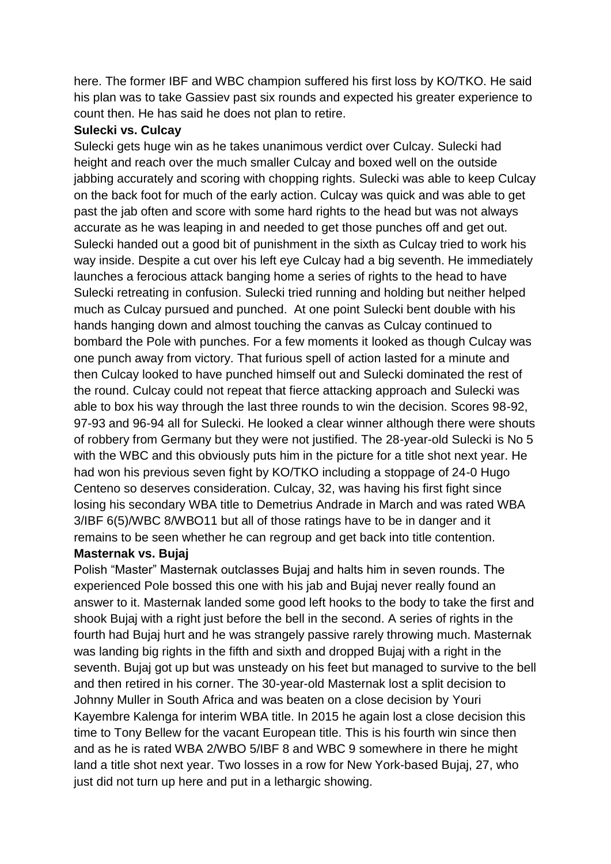here. The former IBF and WBC champion suffered his first loss by KO/TKO. He said his plan was to take Gassiev past six rounds and expected his greater experience to count then. He has said he does not plan to retire.

#### **Sulecki vs. Culcay**

Sulecki gets huge win as he takes unanimous verdict over Culcay. Sulecki had height and reach over the much smaller Culcay and boxed well on the outside jabbing accurately and scoring with chopping rights. Sulecki was able to keep Culcay on the back foot for much of the early action. Culcay was quick and was able to get past the jab often and score with some hard rights to the head but was not always accurate as he was leaping in and needed to get those punches off and get out. Sulecki handed out a good bit of punishment in the sixth as Culcay tried to work his way inside. Despite a cut over his left eye Culcay had a big seventh. He immediately launches a ferocious attack banging home a series of rights to the head to have Sulecki retreating in confusion. Sulecki tried running and holding but neither helped much as Culcay pursued and punched. At one point Sulecki bent double with his hands hanging down and almost touching the canvas as Culcay continued to bombard the Pole with punches. For a few moments it looked as though Culcay was one punch away from victory. That furious spell of action lasted for a minute and then Culcay looked to have punched himself out and Sulecki dominated the rest of the round. Culcay could not repeat that fierce attacking approach and Sulecki was able to box his way through the last three rounds to win the decision. Scores 98-92, 97-93 and 96-94 all for Sulecki. He looked a clear winner although there were shouts of robbery from Germany but they were not justified. The 28-year-old Sulecki is No 5 with the WBC and this obviously puts him in the picture for a title shot next year. He had won his previous seven fight by KO/TKO including a stoppage of 24-0 Hugo Centeno so deserves consideration. Culcay, 32, was having his first fight since losing his secondary WBA title to Demetrius Andrade in March and was rated WBA 3/IBF 6(5)/WBC 8/WBO11 but all of those ratings have to be in danger and it remains to be seen whether he can regroup and get back into title contention.

## **Masternak vs. Bujaj**

Polish "Master" Masternak outclasses Bujaj and halts him in seven rounds. The experienced Pole bossed this one with his jab and Bujaj never really found an answer to it. Masternak landed some good left hooks to the body to take the first and shook Bujaj with a right just before the bell in the second. A series of rights in the fourth had Bujaj hurt and he was strangely passive rarely throwing much. Masternak was landing big rights in the fifth and sixth and dropped Bujaj with a right in the seventh. Bujaj got up but was unsteady on his feet but managed to survive to the bell and then retired in his corner. The 30-year-old Masternak lost a split decision to Johnny Muller in South Africa and was beaten on a close decision by Youri Kayembre Kalenga for interim WBA title. In 2015 he again lost a close decision this time to Tony Bellew for the vacant European title. This is his fourth win since then and as he is rated WBA 2/WBO 5/IBF 8 and WBC 9 somewhere in there he might land a title shot next year. Two losses in a row for New York-based Bujaj, 27, who just did not turn up here and put in a lethargic showing.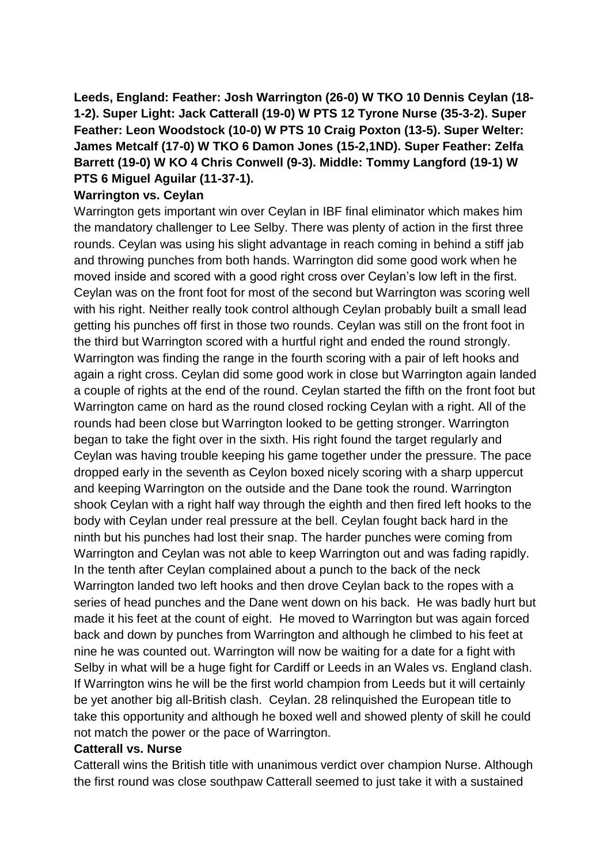**Leeds, England: Feather: Josh Warrington (26-0) W TKO 10 Dennis Ceylan (18- 1-2). Super Light: Jack Catterall (19-0) W PTS 12 Tyrone Nurse (35-3-2). Super Feather: Leon Woodstock (10-0) W PTS 10 Craig Poxton (13-5). Super Welter: James Metcalf (17-0) W TKO 6 Damon Jones (15-2,1ND). Super Feather: Zelfa Barrett (19-0) W KO 4 Chris Conwell (9-3). Middle: Tommy Langford (19-1) W PTS 6 Miguel Aguilar (11-37-1).** 

## **Warrington vs. Ceylan**

Warrington gets important win over Ceylan in IBF final eliminator which makes him the mandatory challenger to Lee Selby. There was plenty of action in the first three rounds. Ceylan was using his slight advantage in reach coming in behind a stiff jab and throwing punches from both hands. Warrington did some good work when he moved inside and scored with a good right cross over Ceylan's low left in the first. Ceylan was on the front foot for most of the second but Warrington was scoring well with his right. Neither really took control although Ceylan probably built a small lead getting his punches off first in those two rounds. Ceylan was still on the front foot in the third but Warrington scored with a hurtful right and ended the round strongly. Warrington was finding the range in the fourth scoring with a pair of left hooks and again a right cross. Ceylan did some good work in close but Warrington again landed a couple of rights at the end of the round. Ceylan started the fifth on the front foot but Warrington came on hard as the round closed rocking Ceylan with a right. All of the rounds had been close but Warrington looked to be getting stronger. Warrington began to take the fight over in the sixth. His right found the target regularly and Ceylan was having trouble keeping his game together under the pressure. The pace dropped early in the seventh as Ceylon boxed nicely scoring with a sharp uppercut and keeping Warrington on the outside and the Dane took the round. Warrington shook Ceylan with a right half way through the eighth and then fired left hooks to the body with Ceylan under real pressure at the bell. Ceylan fought back hard in the ninth but his punches had lost their snap. The harder punches were coming from Warrington and Ceylan was not able to keep Warrington out and was fading rapidly. In the tenth after Ceylan complained about a punch to the back of the neck Warrington landed two left hooks and then drove Ceylan back to the ropes with a series of head punches and the Dane went down on his back. He was badly hurt but made it his feet at the count of eight. He moved to Warrington but was again forced back and down by punches from Warrington and although he climbed to his feet at nine he was counted out. Warrington will now be waiting for a date for a fight with Selby in what will be a huge fight for Cardiff or Leeds in an Wales vs. England clash. If Warrington wins he will be the first world champion from Leeds but it will certainly be yet another big all-British clash. Ceylan. 28 relinquished the European title to take this opportunity and although he boxed well and showed plenty of skill he could not match the power or the pace of Warrington.

#### **Catterall vs. Nurse**

Catterall wins the British title with unanimous verdict over champion Nurse. Although the first round was close southpaw Catterall seemed to just take it with a sustained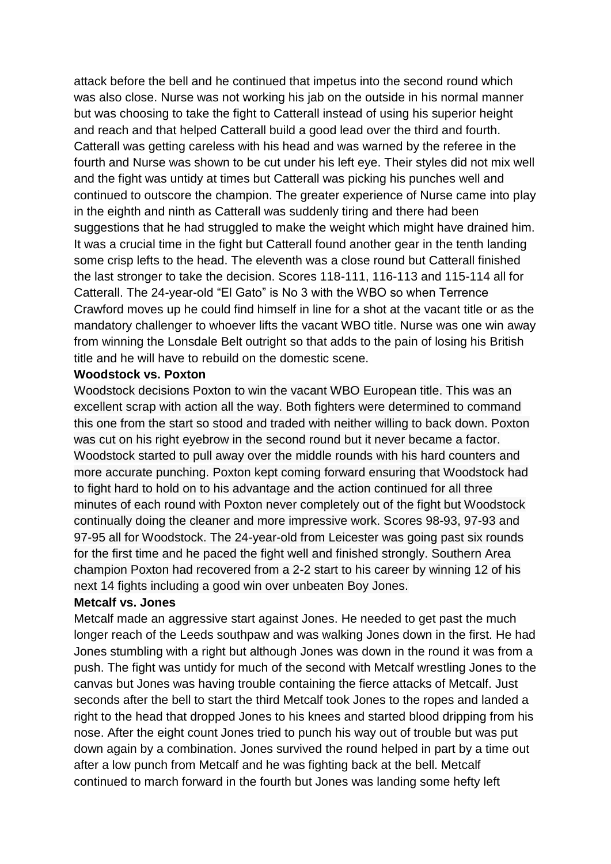attack before the bell and he continued that impetus into the second round which was also close. Nurse was not working his jab on the outside in his normal manner but was choosing to take the fight to Catterall instead of using his superior height and reach and that helped Catterall build a good lead over the third and fourth. Catterall was getting careless with his head and was warned by the referee in the fourth and Nurse was shown to be cut under his left eye. Their styles did not mix well and the fight was untidy at times but Catterall was picking his punches well and continued to outscore the champion. The greater experience of Nurse came into play in the eighth and ninth as Catterall was suddenly tiring and there had been suggestions that he had struggled to make the weight which might have drained him. It was a crucial time in the fight but Catterall found another gear in the tenth landing some crisp lefts to the head. The eleventh was a close round but Catterall finished the last stronger to take the decision. Scores 118-111, 116-113 and 115-114 all for Catterall. The 24-year-old "El Gato" is No 3 with the WBO so when Terrence Crawford moves up he could find himself in line for a shot at the vacant title or as the mandatory challenger to whoever lifts the vacant WBO title. Nurse was one win away from winning the Lonsdale Belt outright so that adds to the pain of losing his British title and he will have to rebuild on the domestic scene.

#### **Woodstock vs. Poxton**

Woodstock decisions Poxton to win the vacant WBO European title. This was an excellent scrap with action all the way. Both fighters were determined to command this one from the start so stood and traded with neither willing to back down. Poxton was cut on his right eyebrow in the second round but it never became a factor. Woodstock started to pull away over the middle rounds with his hard counters and more accurate punching. Poxton kept coming forward ensuring that Woodstock had to fight hard to hold on to his advantage and the action continued for all three minutes of each round with Poxton never completely out of the fight but Woodstock continually doing the cleaner and more impressive work. Scores 98-93, 97-93 and 97-95 all for Woodstock. The 24-year-old from Leicester was going past six rounds for the first time and he paced the fight well and finished strongly. Southern Area champion Poxton had recovered from a 2-2 start to his career by winning 12 of his next 14 fights including a good win over unbeaten Boy Jones.

#### **Metcalf vs. Jones**

Metcalf made an aggressive start against Jones. He needed to get past the much longer reach of the Leeds southpaw and was walking Jones down in the first. He had Jones stumbling with a right but although Jones was down in the round it was from a push. The fight was untidy for much of the second with Metcalf wrestling Jones to the canvas but Jones was having trouble containing the fierce attacks of Metcalf. Just seconds after the bell to start the third Metcalf took Jones to the ropes and landed a right to the head that dropped Jones to his knees and started blood dripping from his nose. After the eight count Jones tried to punch his way out of trouble but was put down again by a combination. Jones survived the round helped in part by a time out after a low punch from Metcalf and he was fighting back at the bell. Metcalf continued to march forward in the fourth but Jones was landing some hefty left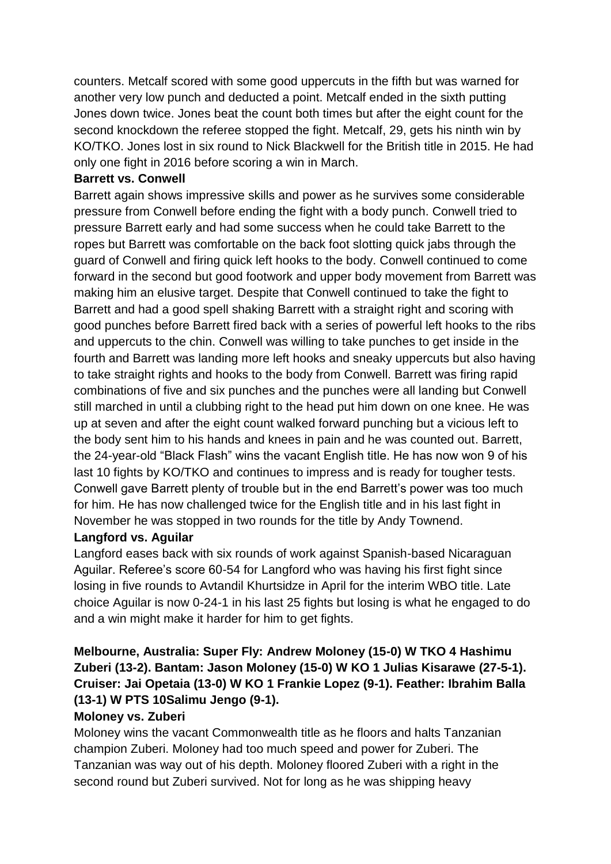counters. Metcalf scored with some good uppercuts in the fifth but was warned for another very low punch and deducted a point. Metcalf ended in the sixth putting Jones down twice. Jones beat the count both times but after the eight count for the second knockdown the referee stopped the fight. Metcalf, 29, gets his ninth win by KO/TKO. Jones lost in six round to Nick Blackwell for the British title in 2015. He had only one fight in 2016 before scoring a win in March.

## **Barrett vs. Conwell**

Barrett again shows impressive skills and power as he survives some considerable pressure from Conwell before ending the fight with a body punch. Conwell tried to pressure Barrett early and had some success when he could take Barrett to the ropes but Barrett was comfortable on the back foot slotting quick jabs through the guard of Conwell and firing quick left hooks to the body. Conwell continued to come forward in the second but good footwork and upper body movement from Barrett was making him an elusive target. Despite that Conwell continued to take the fight to Barrett and had a good spell shaking Barrett with a straight right and scoring with good punches before Barrett fired back with a series of powerful left hooks to the ribs and uppercuts to the chin. Conwell was willing to take punches to get inside in the fourth and Barrett was landing more left hooks and sneaky uppercuts but also having to take straight rights and hooks to the body from Conwell. Barrett was firing rapid combinations of five and six punches and the punches were all landing but Conwell still marched in until a clubbing right to the head put him down on one knee. He was up at seven and after the eight count walked forward punching but a vicious left to the body sent him to his hands and knees in pain and he was counted out. Barrett, the 24-year-old "Black Flash" wins the vacant English title. He has now won 9 of his last 10 fights by KO/TKO and continues to impress and is ready for tougher tests. Conwell gave Barrett plenty of trouble but in the end Barrett's power was too much for him. He has now challenged twice for the English title and in his last fight in November he was stopped in two rounds for the title by Andy Townend.

## **Langford vs. Aguilar**

Langford eases back with six rounds of work against Spanish-based Nicaraguan Aguilar. Referee's score 60-54 for Langford who was having his first fight since losing in five rounds to Avtandil Khurtsidze in April for the interim WBO title. Late choice Aguilar is now 0-24-1 in his last 25 fights but losing is what he engaged to do and a win might make it harder for him to get fights.

# **Melbourne, Australia: Super Fly: Andrew Moloney (15-0) W TKO 4 Hashimu Zuberi (13-2). Bantam: Jason Moloney (15-0) W KO 1 Julias Kisarawe (27-5-1). Cruiser: Jai Opetaia (13-0) W KO 1 Frankie Lopez (9-1). Feather: Ibrahim Balla (13-1) W PTS 10Salimu Jengo (9-1).**

# **Moloney vs. Zuberi**

Moloney wins the vacant Commonwealth title as he floors and halts Tanzanian champion Zuberi. Moloney had too much speed and power for Zuberi. The Tanzanian was way out of his depth. Moloney floored Zuberi with a right in the second round but Zuberi survived. Not for long as he was shipping heavy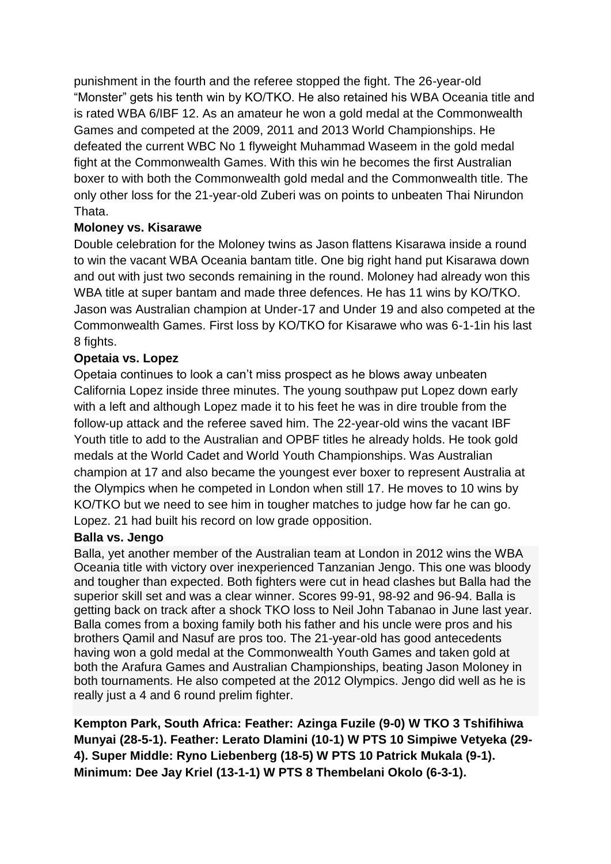punishment in the fourth and the referee stopped the fight. The 26-year-old "Monster" gets his tenth win by KO/TKO. He also retained his WBA Oceania title and is rated WBA 6/IBF 12. As an amateur he won a gold medal at the Commonwealth Games and competed at the 2009, 2011 and 2013 World Championships. He defeated the current WBC No 1 flyweight Muhammad Waseem in the gold medal fight at the Commonwealth Games. With this win he becomes the first Australian boxer to with both the Commonwealth gold medal and the Commonwealth title. The only other loss for the 21-year-old Zuberi was on points to unbeaten Thai Nirundon Thata.

## **Moloney vs. Kisarawe**

Double celebration for the Moloney twins as Jason flattens Kisarawa inside a round to win the vacant WBA Oceania bantam title. One big right hand put Kisarawa down and out with just two seconds remaining in the round. Moloney had already won this WBA title at super bantam and made three defences. He has 11 wins by KO/TKO. Jason was Australian champion at Under-17 and Under 19 and also competed at the Commonwealth Games. First loss by KO/TKO for Kisarawe who was 6-1-1in his last 8 fights.

## **Opetaia vs. Lopez**

Opetaia continues to look a can't miss prospect as he blows away unbeaten California Lopez inside three minutes. The young southpaw put Lopez down early with a left and although Lopez made it to his feet he was in dire trouble from the follow-up attack and the referee saved him. The 22-year-old wins the vacant IBF Youth title to add to the Australian and OPBF titles he already holds. He took gold medals at the World Cadet and World Youth Championships. Was Australian champion at 17 and also became the youngest ever boxer to represent Australia at the Olympics when he competed in London when still 17. He moves to 10 wins by KO/TKO but we need to see him in tougher matches to judge how far he can go. Lopez. 21 had built his record on low grade opposition.

#### **Balla vs. Jengo**

Balla, yet another member of the Australian team at London in 2012 wins the WBA Oceania title with victory over inexperienced Tanzanian Jengo. This one was bloody and tougher than expected. Both fighters were cut in head clashes but Balla had the superior skill set and was a clear winner. Scores 99-91, 98-92 and 96-94. Balla is getting back on track after a shock TKO loss to Neil John Tabanao in June last year. Balla comes from a boxing family both his father and his uncle were pros and his brothers Qamil and Nasuf are pros too. The 21-year-old has good antecedents having won a gold medal at the Commonwealth Youth Games and taken gold at both the Arafura Games and Australian Championships, beating Jason Moloney in both tournaments. He also competed at the 2012 Olympics. Jengo did well as he is really just a 4 and 6 round prelim fighter.

**Kempton Park, South Africa: Feather: Azinga Fuzile (9-0) W TKO 3 Tshifihiwa Munyai (28-5-1). Feather: Lerato Dlamini (10-1) W PTS 10 Simpiwe Vetyeka (29- 4). Super Middle: Ryno Liebenberg (18-5) W PTS 10 Patrick Mukala (9-1). Minimum: Dee Jay Kriel (13-1-1) W PTS 8 Thembelani Okolo (6-3-1).**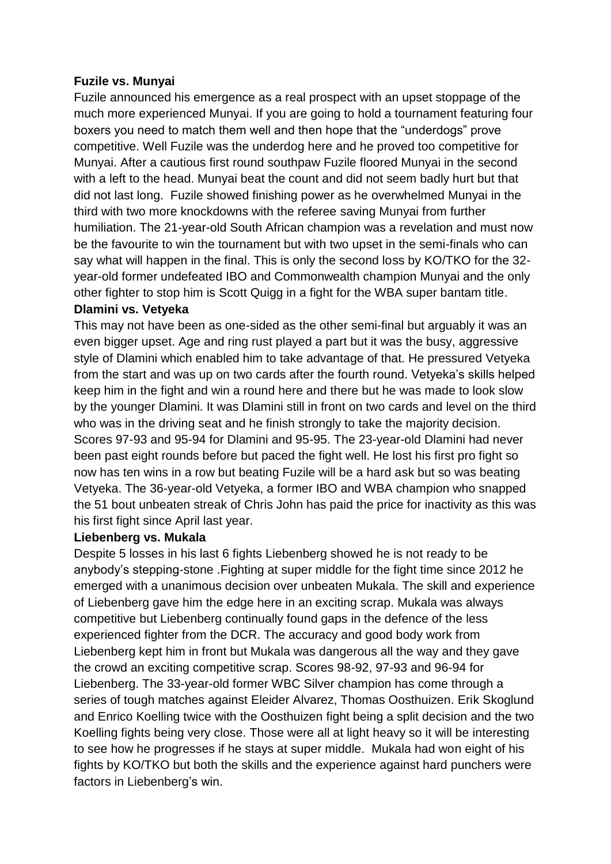#### **Fuzile vs. Munyai**

Fuzile announced his emergence as a real prospect with an upset stoppage of the much more experienced Munyai. If you are going to hold a tournament featuring four boxers you need to match them well and then hope that the "underdogs" prove competitive. Well Fuzile was the underdog here and he proved too competitive for Munyai. After a cautious first round southpaw Fuzile floored Munyai in the second with a left to the head. Munyai beat the count and did not seem badly hurt but that did not last long. Fuzile showed finishing power as he overwhelmed Munyai in the third with two more knockdowns with the referee saving Munyai from further humiliation. The 21-year-old South African champion was a revelation and must now be the favourite to win the tournament but with two upset in the semi-finals who can say what will happen in the final. This is only the second loss by KO/TKO for the 32 year-old former undefeated IBO and Commonwealth champion Munyai and the only other fighter to stop him is Scott Quigg in a fight for the WBA super bantam title.

#### **Dlamini vs. Vetyeka**

This may not have been as one-sided as the other semi-final but arguably it was an even bigger upset. Age and ring rust played a part but it was the busy, aggressive style of Dlamini which enabled him to take advantage of that. He pressured Vetyeka from the start and was up on two cards after the fourth round. Vetyeka's skills helped keep him in the fight and win a round here and there but he was made to look slow by the younger Dlamini. It was Dlamini still in front on two cards and level on the third who was in the driving seat and he finish strongly to take the majority decision. Scores 97-93 and 95-94 for Dlamini and 95-95. The 23-year-old Dlamini had never been past eight rounds before but paced the fight well. He lost his first pro fight so now has ten wins in a row but beating Fuzile will be a hard ask but so was beating Vetyeka. The 36-year-old Vetyeka, a former IBO and WBA champion who snapped the 51 bout unbeaten streak of Chris John has paid the price for inactivity as this was his first fight since April last year.

## **Liebenberg vs. Mukala**

Despite 5 losses in his last 6 fights Liebenberg showed he is not ready to be anybody's stepping-stone .Fighting at super middle for the fight time since 2012 he emerged with a unanimous decision over unbeaten Mukala. The skill and experience of Liebenberg gave him the edge here in an exciting scrap. Mukala was always competitive but Liebenberg continually found gaps in the defence of the less experienced fighter from the DCR. The accuracy and good body work from Liebenberg kept him in front but Mukala was dangerous all the way and they gave the crowd an exciting competitive scrap. Scores 98-92, 97-93 and 96-94 for Liebenberg. The 33-year-old former WBC Silver champion has come through a series of tough matches against Eleider Alvarez, Thomas Oosthuizen. Erik Skoglund and Enrico Koelling twice with the Oosthuizen fight being a split decision and the two Koelling fights being very close. Those were all at light heavy so it will be interesting to see how he progresses if he stays at super middle. Mukala had won eight of his fights by KO/TKO but both the skills and the experience against hard punchers were factors in Liebenberg's win.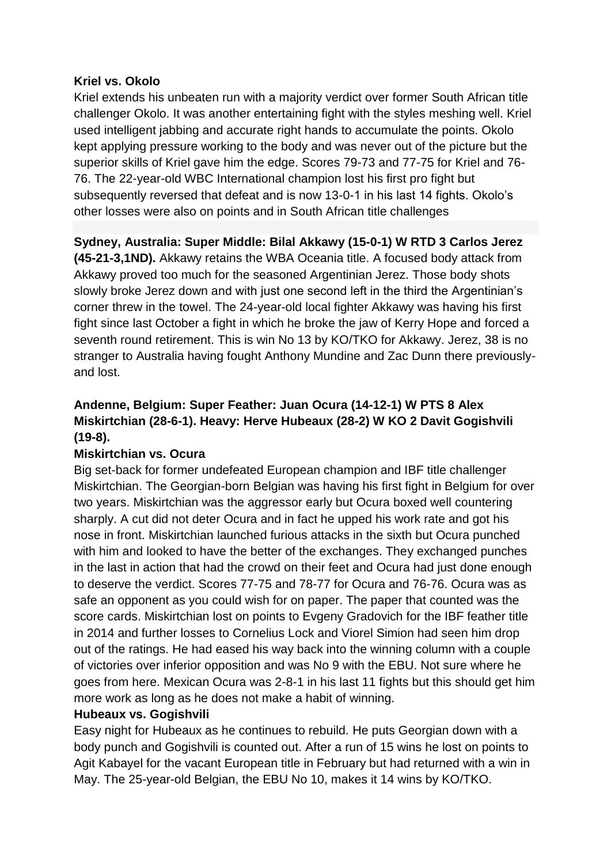#### **Kriel vs. Okolo**

Kriel extends his unbeaten run with a majority verdict over former South African title challenger Okolo. It was another entertaining fight with the styles meshing well. Kriel used intelligent jabbing and accurate right hands to accumulate the points. Okolo kept applying pressure working to the body and was never out of the picture but the superior skills of Kriel gave him the edge. Scores 79-73 and 77-75 for Kriel and 76- 76. The 22-year-old WBC International champion lost his first pro fight but subsequently reversed that defeat and is now 13-0-1 in his last 14 fights. Okolo's other losses were also on points and in South African title challenges

## **Sydney, Australia: Super Middle: Bilal Akkawy (15-0-1) W RTD 3 Carlos Jerez**

**(45-21-3,1ND).** Akkawy retains the WBA Oceania title. A focused body attack from Akkawy proved too much for the seasoned Argentinian Jerez. Those body shots slowly broke Jerez down and with just one second left in the third the Argentinian's corner threw in the towel. The 24-year-old local fighter Akkawy was having his first fight since last October a fight in which he broke the jaw of Kerry Hope and forced a seventh round retirement. This is win No 13 by KO/TKO for Akkawy. Jerez, 38 is no stranger to Australia having fought Anthony Mundine and Zac Dunn there previouslyand lost.

# **Andenne, Belgium: Super Feather: Juan Ocura (14-12-1) W PTS 8 Alex Miskirtchian (28-6-1). Heavy: Herve Hubeaux (28-2) W KO 2 Davit Gogishvili (19-8).**

## **Miskirtchian vs. Ocura**

Big set-back for former undefeated European champion and IBF title challenger Miskirtchian. The Georgian-born Belgian was having his first fight in Belgium for over two years. Miskirtchian was the aggressor early but Ocura boxed well countering sharply. A cut did not deter Ocura and in fact he upped his work rate and got his nose in front. Miskirtchian launched furious attacks in the sixth but Ocura punched with him and looked to have the better of the exchanges. They exchanged punches in the last in action that had the crowd on their feet and Ocura had just done enough to deserve the verdict. Scores 77-75 and 78-77 for Ocura and 76-76. Ocura was as safe an opponent as you could wish for on paper. The paper that counted was the score cards. Miskirtchian lost on points to Evgeny Gradovich for the IBF feather title in 2014 and further losses to Cornelius Lock and Viorel Simion had seen him drop out of the ratings. He had eased his way back into the winning column with a couple of victories over inferior opposition and was No 9 with the EBU. Not sure where he goes from here. Mexican Ocura was 2-8-1 in his last 11 fights but this should get him more work as long as he does not make a habit of winning.

## **Hubeaux vs. Gogishvili**

Easy night for Hubeaux as he continues to rebuild. He puts Georgian down with a body punch and Gogishvili is counted out. After a run of 15 wins he lost on points to Agit Kabayel for the vacant European title in February but had returned with a win in May. The 25-year-old Belgian, the EBU No 10, makes it 14 wins by KO/TKO.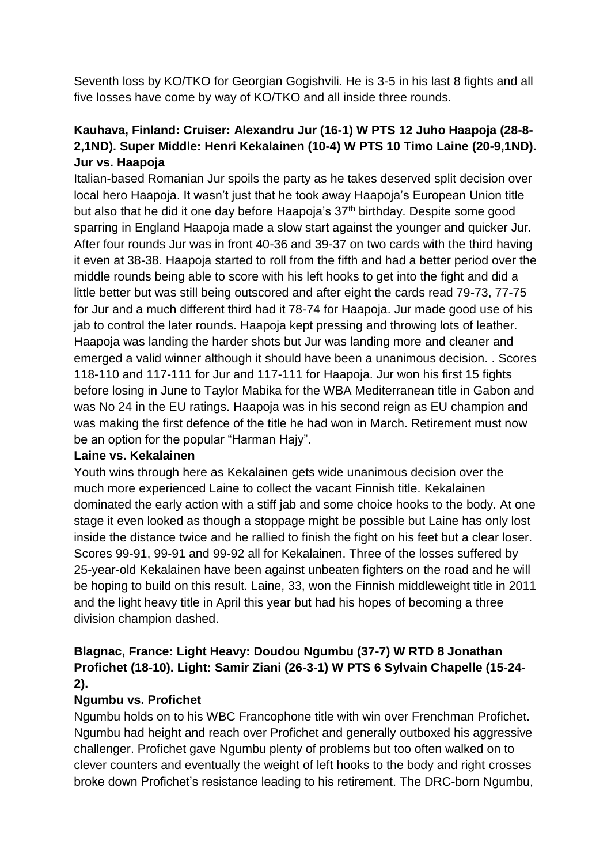Seventh loss by KO/TKO for Georgian Gogishvili. He is 3-5 in his last 8 fights and all five losses have come by way of KO/TKO and all inside three rounds.

# **Kauhava, Finland: Cruiser: Alexandru Jur (16-1) W PTS 12 Juho Haapoja (28-8- 2,1ND). Super Middle: Henri Kekalainen (10-4) W PTS 10 Timo Laine (20-9,1ND). Jur vs. Haapoja**

Italian-based Romanian Jur spoils the party as he takes deserved split decision over local hero Haapoja. It wasn't just that he took away Haapoja's European Union title but also that he did it one day before Haapoja's 37<sup>th</sup> birthday. Despite some good sparring in England Haapoja made a slow start against the younger and quicker Jur. After four rounds Jur was in front 40-36 and 39-37 on two cards with the third having it even at 38-38. Haapoja started to roll from the fifth and had a better period over the middle rounds being able to score with his left hooks to get into the fight and did a little better but was still being outscored and after eight the cards read 79-73, 77-75 for Jur and a much different third had it 78-74 for Haapoja. Jur made good use of his jab to control the later rounds. Haapoja kept pressing and throwing lots of leather. Haapoja was landing the harder shots but Jur was landing more and cleaner and emerged a valid winner although it should have been a unanimous decision. . Scores 118-110 and 117-111 for Jur and 117-111 for Haapoja. Jur won his first 15 fights before losing in June to Taylor Mabika for the WBA Mediterranean title in Gabon and was No 24 in the EU ratings. Haapoja was in his second reign as EU champion and was making the first defence of the title he had won in March. Retirement must now be an option for the popular "Harman Hajy".

#### **Laine vs. Kekalainen**

Youth wins through here as Kekalainen gets wide unanimous decision over the much more experienced Laine to collect the vacant Finnish title. Kekalainen dominated the early action with a stiff jab and some choice hooks to the body. At one stage it even looked as though a stoppage might be possible but Laine has only lost inside the distance twice and he rallied to finish the fight on his feet but a clear loser. Scores 99-91, 99-91 and 99-92 all for Kekalainen. Three of the losses suffered by 25-year-old Kekalainen have been against unbeaten fighters on the road and he will be hoping to build on this result. Laine, 33, won the Finnish middleweight title in 2011 and the light heavy title in April this year but had his hopes of becoming a three division champion dashed.

## **Blagnac, France: Light Heavy: Doudou Ngumbu (37-7) W RTD 8 Jonathan Profichet (18-10). Light: Samir Ziani (26-3-1) W PTS 6 Sylvain Chapelle (15-24- 2).**

## **Ngumbu vs. Profichet**

Ngumbu holds on to his WBC Francophone title with win over Frenchman Profichet. Ngumbu had height and reach over Profichet and generally outboxed his aggressive challenger. Profichet gave Ngumbu plenty of problems but too often walked on to clever counters and eventually the weight of left hooks to the body and right crosses broke down Profichet's resistance leading to his retirement. The DRC-born Ngumbu,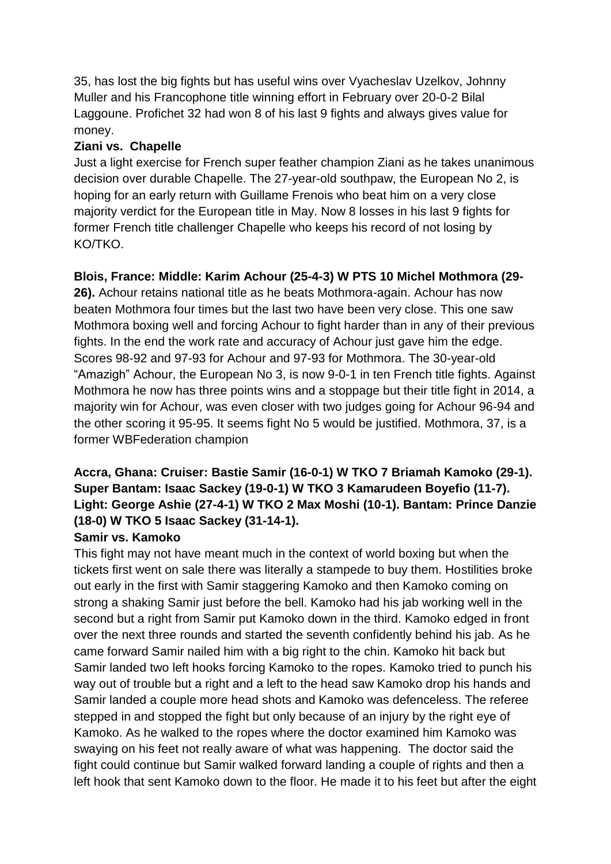35, has lost the big fights but has useful wins over Vyacheslav Uzelkov, Johnny Muller and his Francophone title winning effort in February over 20-0-2 Bilal Laggoune. Profichet 32 had won 8 of his last 9 fights and always gives value for money.

## **Ziani vs. Chapelle**

Just a light exercise for French super feather champion Ziani as he takes unanimous decision over durable Chapelle. The 27-year-old southpaw, the European No 2, is hoping for an early return with Guillame Frenois who beat him on a very close majority verdict for the European title in May. Now 8 losses in his last 9 fights for former French title challenger Chapelle who keeps his record of not losing by KO/TKO.

# **Blois, France: Middle: Karim Achour (25-4-3) W PTS 10 Michel Mothmora (29-**

**26).** Achour retains national title as he beats Mothmora-again. Achour has now beaten Mothmora four times but the last two have been very close. This one saw Mothmora boxing well and forcing Achour to fight harder than in any of their previous fights. In the end the work rate and accuracy of Achour just gave him the edge. Scores 98-92 and 97-93 for Achour and 97-93 for Mothmora. The 30-year-old "Amazigh" Achour, the European No 3, is now 9-0-1 in ten French title fights. Against Mothmora he now has three points wins and a stoppage but their title fight in 2014, a majority win for Achour, was even closer with two judges going for Achour 96-94 and the other scoring it 95-95. It seems fight No 5 would be justified. Mothmora, 37, is a former WBFederation champion

# **Accra, Ghana: Cruiser: Bastie Samir (16-0-1) W TKO 7 Briamah Kamoko (29-1). Super Bantam: Isaac Sackey (19-0-1) W TKO 3 Kamarudeen Boyefio (11-7). Light: George Ashie (27-4-1) W TKO 2 Max Moshi (10-1). Bantam: Prince Danzie (18-0) W TKO 5 Isaac Sackey (31-14-1).**

# **Samir vs. Kamoko**

This fight may not have meant much in the context of world boxing but when the tickets first went on sale there was literally a stampede to buy them. Hostilities broke out early in the first with Samir staggering Kamoko and then Kamoko coming on strong a shaking Samir just before the bell. Kamoko had his jab working well in the second but a right from Samir put Kamoko down in the third. Kamoko edged in front over the next three rounds and started the seventh confidently behind his jab. As he came forward Samir nailed him with a big right to the chin. Kamoko hit back but Samir landed two left hooks forcing Kamoko to the ropes. Kamoko tried to punch his way out of trouble but a right and a left to the head saw Kamoko drop his hands and Samir landed a couple more head shots and Kamoko was defenceless. The referee stepped in and stopped the fight but only because of an injury by the right eye of Kamoko. As he walked to the ropes where the doctor examined him Kamoko was swaying on his feet not really aware of what was happening. The doctor said the fight could continue but Samir walked forward landing a couple of rights and then a left hook that sent Kamoko down to the floor. He made it to his feet but after the eight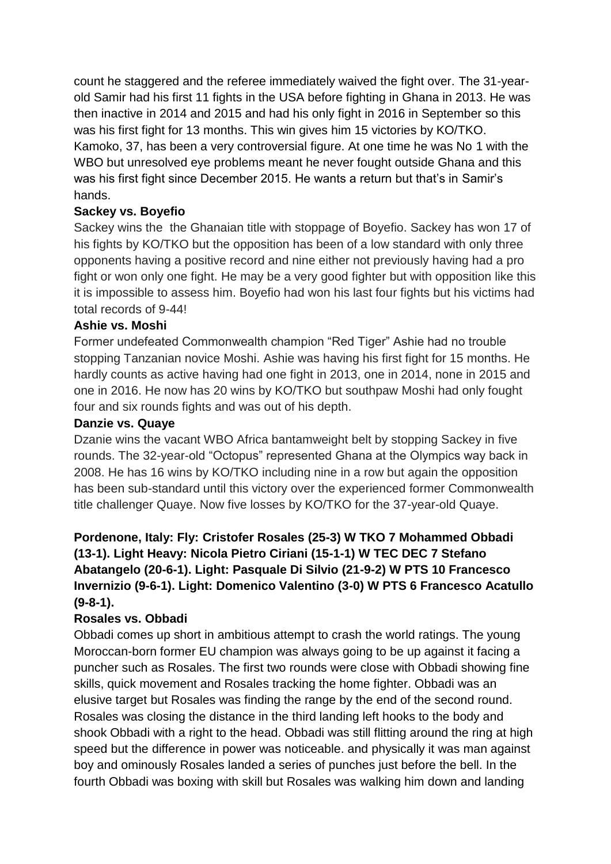count he staggered and the referee immediately waived the fight over. The 31-yearold Samir had his first 11 fights in the USA before fighting in Ghana in 2013. He was then inactive in 2014 and 2015 and had his only fight in 2016 in September so this was his first fight for 13 months. This win gives him 15 victories by KO/TKO. Kamoko, 37, has been a very controversial figure. At one time he was No 1 with the WBO but unresolved eye problems meant he never fought outside Ghana and this was his first fight since December 2015. He wants a return but that's in Samir's hands.

## **Sackey vs. Boyefio**

Sackey wins the the Ghanaian title with stoppage of Boyefio. Sackey has won 17 of his fights by KO/TKO but the opposition has been of a low standard with only three opponents having a positive record and nine either not previously having had a pro fight or won only one fight. He may be a very good fighter but with opposition like this it is impossible to assess him. Boyefio had won his last four fights but his victims had total records of 9-44!

## **Ashie vs. Moshi**

Former undefeated Commonwealth champion "Red Tiger" Ashie had no trouble stopping Tanzanian novice Moshi. Ashie was having his first fight for 15 months. He hardly counts as active having had one fight in 2013, one in 2014, none in 2015 and one in 2016. He now has 20 wins by KO/TKO but southpaw Moshi had only fought four and six rounds fights and was out of his depth.

#### **Danzie vs. Quaye**

Dzanie wins the vacant WBO Africa bantamweight belt by stopping Sackey in five rounds. The 32-year-old "Octopus" represented Ghana at the Olympics way back in 2008. He has 16 wins by KO/TKO including nine in a row but again the opposition has been sub-standard until this victory over the experienced former Commonwealth title challenger Quaye. Now five losses by KO/TKO for the 37-year-old Quaye.

# **Pordenone, Italy: Fly: Cristofer Rosales (25-3) W TKO 7 Mohammed Obbadi (13-1). Light Heavy: Nicola Pietro Ciriani (15-1-1) W TEC DEC 7 Stefano Abatangelo (20-6-1). Light: Pasquale Di Silvio (21-9-2) W PTS 10 Francesco Invernizio (9-6-1). Light: Domenico Valentino (3-0) W PTS 6 Francesco Acatullo (9-8-1).**

## **Rosales vs. Obbadi**

Obbadi comes up short in ambitious attempt to crash the world ratings. The young Moroccan-born former EU champion was always going to be up against it facing a puncher such as Rosales. The first two rounds were close with Obbadi showing fine skills, quick movement and Rosales tracking the home fighter. Obbadi was an elusive target but Rosales was finding the range by the end of the second round. Rosales was closing the distance in the third landing left hooks to the body and shook Obbadi with a right to the head. Obbadi was still flitting around the ring at high speed but the difference in power was noticeable. and physically it was man against boy and ominously Rosales landed a series of punches just before the bell. In the fourth Obbadi was boxing with skill but Rosales was walking him down and landing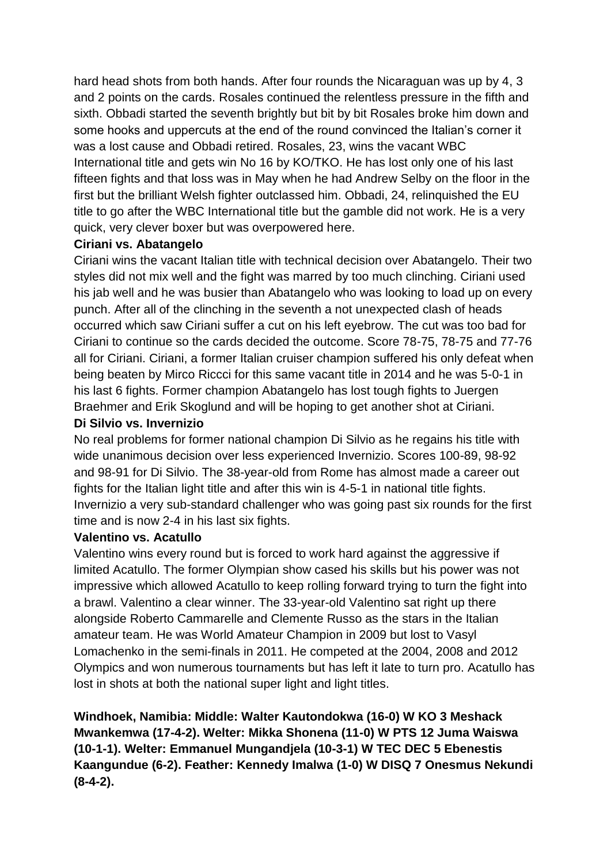hard head shots from both hands. After four rounds the Nicaraguan was up by 4, 3 and 2 points on the cards. Rosales continued the relentless pressure in the fifth and sixth. Obbadi started the seventh brightly but bit by bit Rosales broke him down and some hooks and uppercuts at the end of the round convinced the Italian's corner it was a lost cause and Obbadi retired. Rosales, 23, wins the vacant WBC International title and gets win No 16 by KO/TKO. He has lost only one of his last fifteen fights and that loss was in May when he had Andrew Selby on the floor in the first but the brilliant Welsh fighter outclassed him. Obbadi, 24, relinquished the EU title to go after the WBC International title but the gamble did not work. He is a very quick, very clever boxer but was overpowered here.

#### **Ciriani vs. Abatangelo**

Ciriani wins the vacant Italian title with technical decision over Abatangelo. Their two styles did not mix well and the fight was marred by too much clinching. Ciriani used his jab well and he was busier than Abatangelo who was looking to load up on every punch. After all of the clinching in the seventh a not unexpected clash of heads occurred which saw Ciriani suffer a cut on his left eyebrow. The cut was too bad for Ciriani to continue so the cards decided the outcome. Score 78-75, 78-75 and 77-76 all for Ciriani. Ciriani, a former Italian cruiser champion suffered his only defeat when being beaten by Mirco Riccci for this same vacant title in 2014 and he was 5-0-1 in his last 6 fights. Former champion Abatangelo has lost tough fights to Juergen Braehmer and Erik Skoglund and will be hoping to get another shot at Ciriani.

#### **Di Silvio vs. Invernizio**

No real problems for former national champion Di Silvio as he regains his title with wide unanimous decision over less experienced Invernizio. Scores 100-89, 98-92 and 98-91 for Di Silvio. The 38-year-old from Rome has almost made a career out fights for the Italian light title and after this win is 4-5-1 in national title fights. Invernizio a very sub-standard challenger who was going past six rounds for the first time and is now 2-4 in his last six fights.

#### **Valentino vs. Acatullo**

Valentino wins every round but is forced to work hard against the aggressive if limited Acatullo. The former Olympian show cased his skills but his power was not impressive which allowed Acatullo to keep rolling forward trying to turn the fight into a brawl. Valentino a clear winner. The 33-year-old Valentino sat right up there alongside Roberto Cammarelle and Clemente Russo as the stars in the Italian amateur team. He was World Amateur Champion in 2009 but lost to Vasyl Lomachenko in the semi-finals in 2011. He competed at the 2004, 2008 and 2012 Olympics and won numerous tournaments but has left it late to turn pro. Acatullo has lost in shots at both the national super light and light titles.

**Windhoek, Namibia: Middle: Walter Kautondokwa (16-0) W KO 3 Meshack Mwankemwa (17-4-2). Welter: Mikka Shonena (11-0) W PTS 12 Juma Waiswa (10-1-1). Welter: Emmanuel Mungandjela (10-3-1) W TEC DEC 5 Ebenestis Kaangundue (6-2). Feather: Kennedy Imalwa (1-0) W DISQ 7 Onesmus Nekundi (8-4-2).**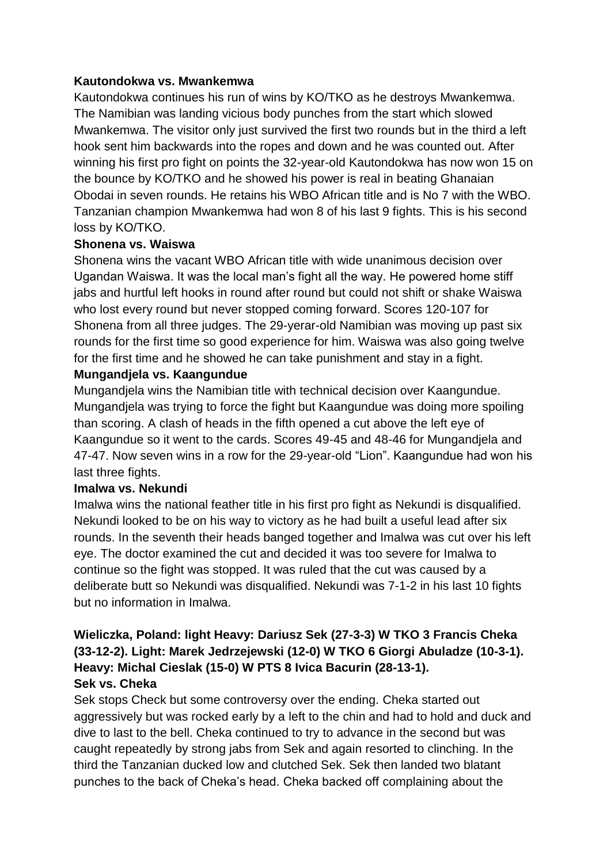#### **Kautondokwa vs. Mwankemwa**

Kautondokwa continues his run of wins by KO/TKO as he destroys Mwankemwa. The Namibian was landing vicious body punches from the start which slowed Mwankemwa. The visitor only just survived the first two rounds but in the third a left hook sent him backwards into the ropes and down and he was counted out. After winning his first pro fight on points the 32-year-old Kautondokwa has now won 15 on the bounce by KO/TKO and he showed his power is real in beating Ghanaian Obodai in seven rounds. He retains his WBO African title and is No 7 with the WBO. Tanzanian champion Mwankemwa had won 8 of his last 9 fights. This is his second loss by KO/TKO.

## **Shonena vs. Waiswa**

Shonena wins the vacant WBO African title with wide unanimous decision over Ugandan Waiswa. It was the local man's fight all the way. He powered home stiff jabs and hurtful left hooks in round after round but could not shift or shake Waiswa who lost every round but never stopped coming forward. Scores 120-107 for Shonena from all three judges. The 29-yerar-old Namibian was moving up past six rounds for the first time so good experience for him. Waiswa was also going twelve for the first time and he showed he can take punishment and stay in a fight.

#### **Mungandjela vs. Kaangundue**

Mungandjela wins the Namibian title with technical decision over Kaangundue. Mungandjela was trying to force the fight but Kaangundue was doing more spoiling than scoring. A clash of heads in the fifth opened a cut above the left eye of Kaangundue so it went to the cards. Scores 49-45 and 48-46 for Mungandjela and 47-47. Now seven wins in a row for the 29-year-old "Lion". Kaangundue had won his last three fights.

#### **Imalwa vs. Nekundi**

Imalwa wins the national feather title in his first pro fight as Nekundi is disqualified. Nekundi looked to be on his way to victory as he had built a useful lead after six rounds. In the seventh their heads banged together and Imalwa was cut over his left eye. The doctor examined the cut and decided it was too severe for Imalwa to continue so the fight was stopped. It was ruled that the cut was caused by a deliberate butt so Nekundi was disqualified. Nekundi was 7-1-2 in his last 10 fights but no information in Imalwa.

## **Wieliczka, Poland: light Heavy: Dariusz Sek (27-3-3) W TKO 3 Francis Cheka (33-12-2). Light: Marek Jedrzejewski (12-0) W TKO 6 Giorgi Abuladze (10-3-1). Heavy: Michal Cieslak (15-0) W PTS 8 Ivica Bacurin (28-13-1). Sek vs. Cheka**

Sek stops Check but some controversy over the ending. Cheka started out aggressively but was rocked early by a left to the chin and had to hold and duck and dive to last to the bell. Cheka continued to try to advance in the second but was caught repeatedly by strong jabs from Sek and again resorted to clinching. In the third the Tanzanian ducked low and clutched Sek. Sek then landed two blatant punches to the back of Cheka's head. Cheka backed off complaining about the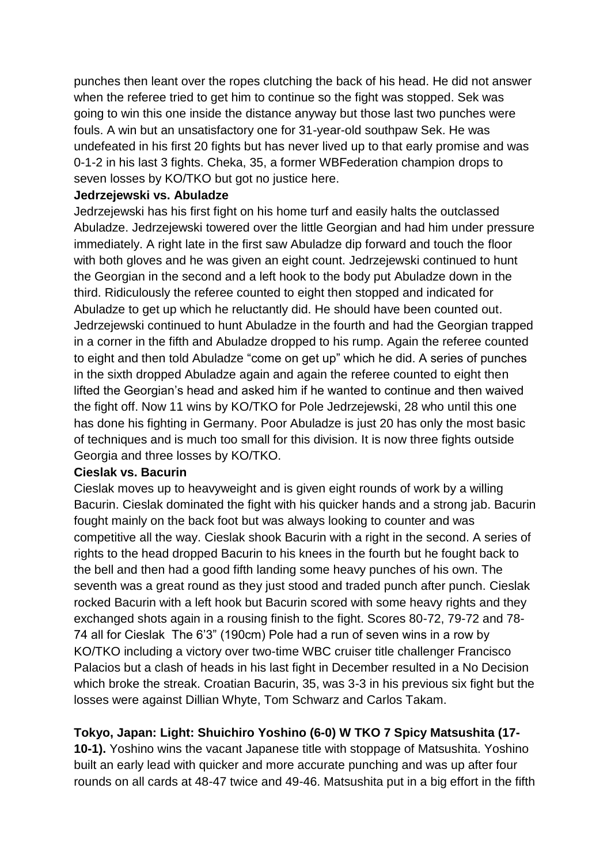punches then leant over the ropes clutching the back of his head. He did not answer when the referee tried to get him to continue so the fight was stopped. Sek was going to win this one inside the distance anyway but those last two punches were fouls. A win but an unsatisfactory one for 31-year-old southpaw Sek. He was undefeated in his first 20 fights but has never lived up to that early promise and was 0-1-2 in his last 3 fights. Cheka, 35, a former WBFederation champion drops to seven losses by KO/TKO but got no justice here.

#### **Jedrzejewski vs. Abuladze**

Jedrzejewski has his first fight on his home turf and easily halts the outclassed Abuladze. Jedrzejewski towered over the little Georgian and had him under pressure immediately. A right late in the first saw Abuladze dip forward and touch the floor with both gloves and he was given an eight count. Jedrzejewski continued to hunt the Georgian in the second and a left hook to the body put Abuladze down in the third. Ridiculously the referee counted to eight then stopped and indicated for Abuladze to get up which he reluctantly did. He should have been counted out. Jedrzejewski continued to hunt Abuladze in the fourth and had the Georgian trapped in a corner in the fifth and Abuladze dropped to his rump. Again the referee counted to eight and then told Abuladze "come on get up" which he did. A series of punches in the sixth dropped Abuladze again and again the referee counted to eight then lifted the Georgian's head and asked him if he wanted to continue and then waived the fight off. Now 11 wins by KO/TKO for Pole Jedrzejewski, 28 who until this one has done his fighting in Germany. Poor Abuladze is just 20 has only the most basic of techniques and is much too small for this division. It is now three fights outside Georgia and three losses by KO/TKO.

#### **Cieslak vs. Bacurin**

Cieslak moves up to heavyweight and is given eight rounds of work by a willing Bacurin. Cieslak dominated the fight with his quicker hands and a strong jab. Bacurin fought mainly on the back foot but was always looking to counter and was competitive all the way. Cieslak shook Bacurin with a right in the second. A series of rights to the head dropped Bacurin to his knees in the fourth but he fought back to the bell and then had a good fifth landing some heavy punches of his own. The seventh was a great round as they just stood and traded punch after punch. Cieslak rocked Bacurin with a left hook but Bacurin scored with some heavy rights and they exchanged shots again in a rousing finish to the fight. Scores 80-72, 79-72 and 78- 74 all for Cieslak The 6'3" (190cm) Pole had a run of seven wins in a row by KO/TKO including a victory over two-time WBC cruiser title challenger Francisco Palacios but a clash of heads in his last fight in December resulted in a No Decision which broke the streak. Croatian Bacurin, 35, was 3-3 in his previous six fight but the losses were against Dillian Whyte, Tom Schwarz and Carlos Takam.

# **Tokyo, Japan: Light: Shuichiro Yoshino (6-0) W TKO 7 Spicy Matsushita (17-**

**10-1).** Yoshino wins the vacant Japanese title with stoppage of Matsushita. Yoshino built an early lead with quicker and more accurate punching and was up after four rounds on all cards at 48-47 twice and 49-46. Matsushita put in a big effort in the fifth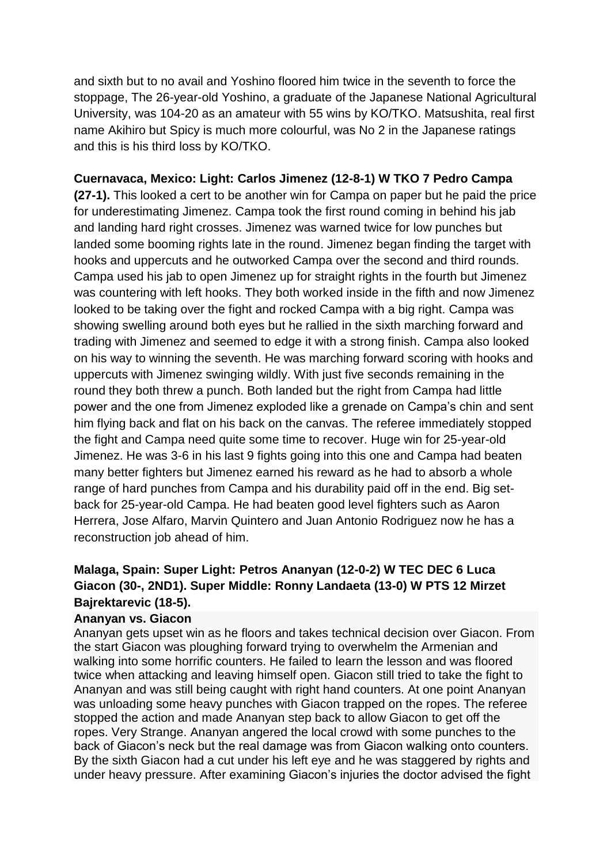and sixth but to no avail and Yoshino floored him twice in the seventh to force the stoppage, The 26-year-old Yoshino, a graduate of the Japanese National Agricultural University, was 104-20 as an amateur with 55 wins by KO/TKO. Matsushita, real first name Akihiro but Spicy is much more colourful, was No 2 in the Japanese ratings and this is his third loss by KO/TKO.

## **Cuernavaca, Mexico: Light: Carlos Jimenez (12-8-1) W TKO 7 Pedro Campa**

**(27-1).** This looked a cert to be another win for Campa on paper but he paid the price for underestimating Jimenez. Campa took the first round coming in behind his jab and landing hard right crosses. Jimenez was warned twice for low punches but landed some booming rights late in the round. Jimenez began finding the target with hooks and uppercuts and he outworked Campa over the second and third rounds. Campa used his jab to open Jimenez up for straight rights in the fourth but Jimenez was countering with left hooks. They both worked inside in the fifth and now Jimenez looked to be taking over the fight and rocked Campa with a big right. Campa was showing swelling around both eyes but he rallied in the sixth marching forward and trading with Jimenez and seemed to edge it with a strong finish. Campa also looked on his way to winning the seventh. He was marching forward scoring with hooks and uppercuts with Jimenez swinging wildly. With just five seconds remaining in the round they both threw a punch. Both landed but the right from Campa had little power and the one from Jimenez exploded like a grenade on Campa's chin and sent him flying back and flat on his back on the canvas. The referee immediately stopped the fight and Campa need quite some time to recover. Huge win for 25-year-old Jimenez. He was 3-6 in his last 9 fights going into this one and Campa had beaten many better fighters but Jimenez earned his reward as he had to absorb a whole range of hard punches from Campa and his durability paid off in the end. Big setback for 25-year-old Campa. He had beaten good level fighters such as Aaron Herrera, Jose Alfaro, Marvin Quintero and Juan Antonio Rodriguez now he has a reconstruction job ahead of him.

## **Malaga, Spain: Super Light: Petros Ananyan (12-0-2) W TEC DEC 6 Luca Giacon (30-, 2ND1). Super Middle: Ronny Landaeta (13-0) W PTS 12 Mirzet Bajrektarevic (18-5).**

#### **Ananyan vs. Giacon**

Ananyan gets upset win as he floors and takes technical decision over Giacon. From the start Giacon was ploughing forward trying to overwhelm the Armenian and walking into some horrific counters. He failed to learn the lesson and was floored twice when attacking and leaving himself open. Giacon still tried to take the fight to Ananyan and was still being caught with right hand counters. At one point Ananyan was unloading some heavy punches with Giacon trapped on the ropes. The referee stopped the action and made Ananyan step back to allow Giacon to get off the ropes. Very Strange. Ananyan angered the local crowd with some punches to the back of Giacon's neck but the real damage was from Giacon walking onto counters. By the sixth Giacon had a cut under his left eye and he was staggered by rights and under heavy pressure. After examining Giacon's injuries the doctor advised the fight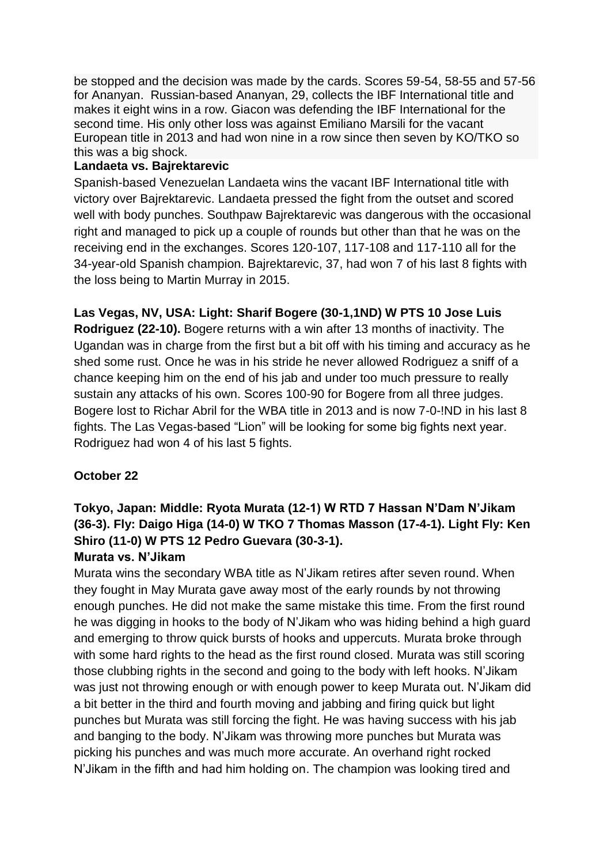be stopped and the decision was made by the cards. Scores 59-54, 58-55 and 57-56 for Ananyan. Russian-based Ananyan, 29, collects the IBF International title and makes it eight wins in a row. Giacon was defending the IBF International for the second time. His only other loss was against Emiliano Marsili for the vacant European title in 2013 and had won nine in a row since then seven by KO/TKO so this was a big shock.

## **Landaeta vs. Bajrektarevic**

Spanish-based Venezuelan Landaeta wins the vacant IBF International title with victory over Bajrektarevic. Landaeta pressed the fight from the outset and scored well with body punches. Southpaw Bajrektarevic was dangerous with the occasional right and managed to pick up a couple of rounds but other than that he was on the receiving end in the exchanges. Scores 120-107, 117-108 and 117-110 all for the 34-year-old Spanish champion. Bajrektarevic, 37, had won 7 of his last 8 fights with the loss being to Martin Murray in 2015.

**Las Vegas, NV, USA: Light: Sharif Bogere (30-1,1ND) W PTS 10 Jose Luis Rodriguez (22-10).** Bogere returns with a win after 13 months of inactivity. The Ugandan was in charge from the first but a bit off with his timing and accuracy as he shed some rust. Once he was in his stride he never allowed Rodriguez a sniff of a chance keeping him on the end of his jab and under too much pressure to really sustain any attacks of his own. Scores 100-90 for Bogere from all three judges. Bogere lost to Richar Abril for the WBA title in 2013 and is now 7-0-!ND in his last 8 fights. The Las Vegas-based "Lion" will be looking for some big fights next year. Rodriguez had won 4 of his last 5 fights.

# **October 22**

# **Tokyo, Japan: Middle: Ryota Murata (12-1) W RTD 7 Hassan N'Dam N'Jikam (36-3). Fly: Daigo Higa (14-0) W TKO 7 Thomas Masson (17-4-1). Light Fly: Ken Shiro (11-0) W PTS 12 Pedro Guevara (30-3-1).**

## **Murata vs. N'Jikam**

Murata wins the secondary WBA title as N'Jikam retires after seven round. When they fought in May Murata gave away most of the early rounds by not throwing enough punches. He did not make the same mistake this time. From the first round he was digging in hooks to the body of N'Jikam who was hiding behind a high guard and emerging to throw quick bursts of hooks and uppercuts. Murata broke through with some hard rights to the head as the first round closed. Murata was still scoring those clubbing rights in the second and going to the body with left hooks. N'Jikam was just not throwing enough or with enough power to keep Murata out. N'Jikam did a bit better in the third and fourth moving and jabbing and firing quick but light punches but Murata was still forcing the fight. He was having success with his jab and banging to the body. N'Jikam was throwing more punches but Murata was picking his punches and was much more accurate. An overhand right rocked N'Jikam in the fifth and had him holding on. The champion was looking tired and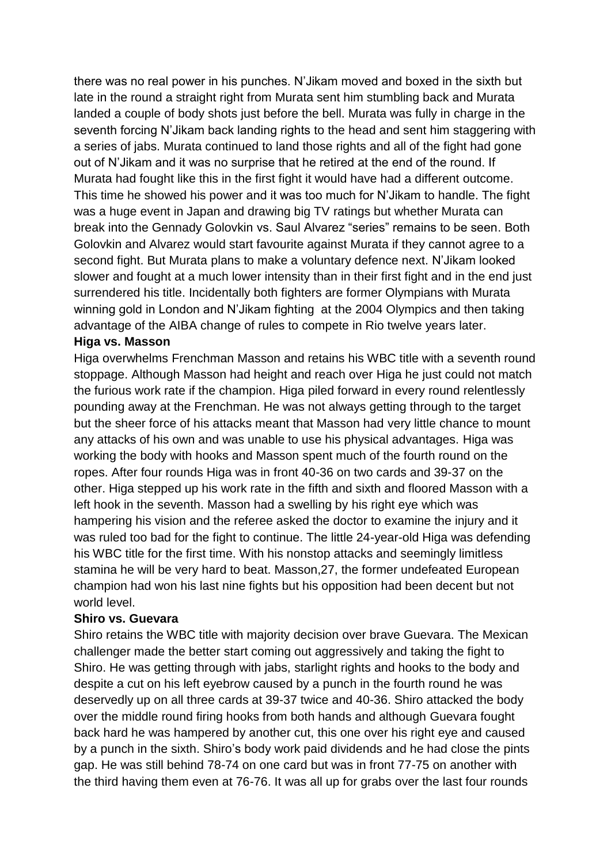there was no real power in his punches. N'Jikam moved and boxed in the sixth but late in the round a straight right from Murata sent him stumbling back and Murata landed a couple of body shots just before the bell. Murata was fully in charge in the seventh forcing N'Jikam back landing rights to the head and sent him staggering with a series of jabs. Murata continued to land those rights and all of the fight had gone out of N'Jikam and it was no surprise that he retired at the end of the round. If Murata had fought like this in the first fight it would have had a different outcome. This time he showed his power and it was too much for N'Jikam to handle. The fight was a huge event in Japan and drawing big TV ratings but whether Murata can break into the Gennady Golovkin vs. Saul Alvarez "series" remains to be seen. Both Golovkin and Alvarez would start favourite against Murata if they cannot agree to a second fight. But Murata plans to make a voluntary defence next. N'Jikam looked slower and fought at a much lower intensity than in their first fight and in the end just surrendered his title. Incidentally both fighters are former Olympians with Murata winning gold in London and N'Jikam fighting at the 2004 Olympics and then taking advantage of the AIBA change of rules to compete in Rio twelve years later.

#### **Higa vs. Masson**

Higa overwhelms Frenchman Masson and retains his WBC title with a seventh round stoppage. Although Masson had height and reach over Higa he just could not match the furious work rate if the champion. Higa piled forward in every round relentlessly pounding away at the Frenchman. He was not always getting through to the target but the sheer force of his attacks meant that Masson had very little chance to mount any attacks of his own and was unable to use his physical advantages. Higa was working the body with hooks and Masson spent much of the fourth round on the ropes. After four rounds Higa was in front 40-36 on two cards and 39-37 on the other. Higa stepped up his work rate in the fifth and sixth and floored Masson with a left hook in the seventh. Masson had a swelling by his right eye which was hampering his vision and the referee asked the doctor to examine the injury and it was ruled too bad for the fight to continue. The little 24-year-old Higa was defending his WBC title for the first time. With his nonstop attacks and seemingly limitless stamina he will be very hard to beat. Masson,27, the former undefeated European champion had won his last nine fights but his opposition had been decent but not world level.

#### **Shiro vs. Guevara**

Shiro retains the WBC title with majority decision over brave Guevara. The Mexican challenger made the better start coming out aggressively and taking the fight to Shiro. He was getting through with jabs, starlight rights and hooks to the body and despite a cut on his left eyebrow caused by a punch in the fourth round he was deservedly up on all three cards at 39-37 twice and 40-36. Shiro attacked the body over the middle round firing hooks from both hands and although Guevara fought back hard he was hampered by another cut, this one over his right eye and caused by a punch in the sixth. Shiro's body work paid dividends and he had close the pints gap. He was still behind 78-74 on one card but was in front 77-75 on another with the third having them even at 76-76. It was all up for grabs over the last four rounds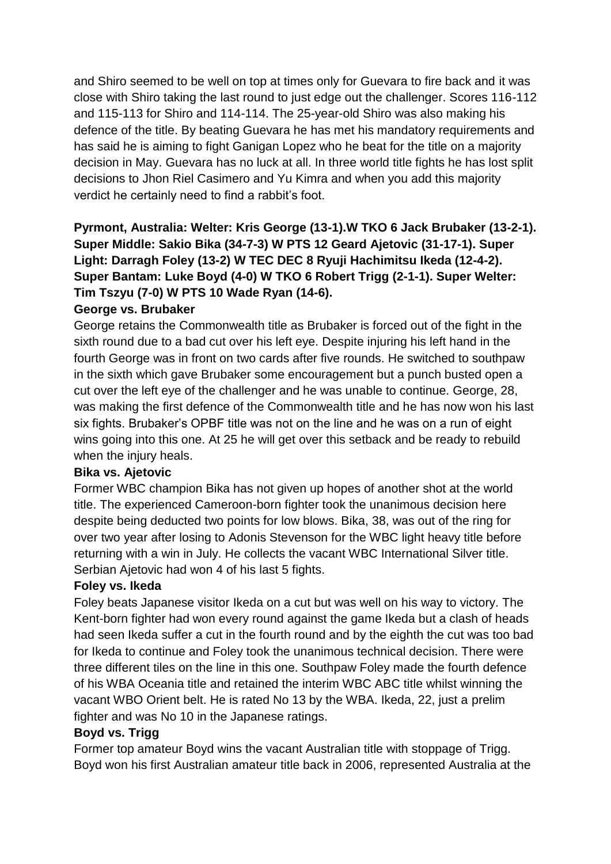and Shiro seemed to be well on top at times only for Guevara to fire back and it was close with Shiro taking the last round to just edge out the challenger. Scores 116-112 and 115-113 for Shiro and 114-114. The 25-year-old Shiro was also making his defence of the title. By beating Guevara he has met his mandatory requirements and has said he is aiming to fight Ganigan Lopez who he beat for the title on a majority decision in May. Guevara has no luck at all. In three world title fights he has lost split decisions to Jhon Riel Casimero and Yu Kimra and when you add this majority verdict he certainly need to find a rabbit's foot.

# **Pyrmont, Australia: Welter: Kris George (13-1).W TKO 6 Jack Brubaker (13-2-1). Super Middle: Sakio Bika (34-7-3) W PTS 12 Geard Ajetovic (31-17-1). Super Light: Darragh Foley (13-2) W TEC DEC 8 Ryuji Hachimitsu Ikeda (12-4-2). Super Bantam: Luke Boyd (4-0) W TKO 6 Robert Trigg (2-1-1). Super Welter: Tim Tszyu (7-0) W PTS 10 Wade Ryan (14-6).**

# **George vs. Brubaker**

George retains the Commonwealth title as Brubaker is forced out of the fight in the sixth round due to a bad cut over his left eye. Despite injuring his left hand in the fourth George was in front on two cards after five rounds. He switched to southpaw in the sixth which gave Brubaker some encouragement but a punch busted open a cut over the left eye of the challenger and he was unable to continue. George, 28, was making the first defence of the Commonwealth title and he has now won his last six fights. Brubaker's OPBF title was not on the line and he was on a run of eight wins going into this one. At 25 he will get over this setback and be ready to rebuild when the injury heals.

## **Bika vs. Ajetovic**

Former WBC champion Bika has not given up hopes of another shot at the world title. The experienced Cameroon-born fighter took the unanimous decision here despite being deducted two points for low blows. Bika, 38, was out of the ring for over two year after losing to Adonis Stevenson for the WBC light heavy title before returning with a win in July. He collects the vacant WBC International Silver title. Serbian Ajetovic had won 4 of his last 5 fights.

## **Foley vs. Ikeda**

Foley beats Japanese visitor Ikeda on a cut but was well on his way to victory. The Kent-born fighter had won every round against the game Ikeda but a clash of heads had seen Ikeda suffer a cut in the fourth round and by the eighth the cut was too bad for Ikeda to continue and Foley took the unanimous technical decision. There were three different tiles on the line in this one. Southpaw Foley made the fourth defence of his WBA Oceania title and retained the interim WBC ABC title whilst winning the vacant WBO Orient belt. He is rated No 13 by the WBA. Ikeda, 22, just a prelim fighter and was No 10 in the Japanese ratings.

## **Boyd vs. Trigg**

Former top amateur Boyd wins the vacant Australian title with stoppage of Trigg. Boyd won his first Australian amateur title back in 2006, represented Australia at the